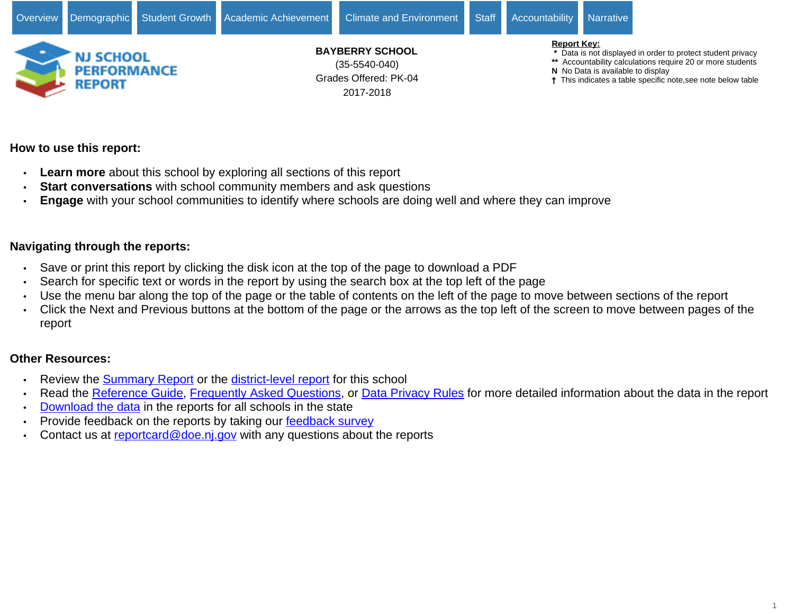

# 2017-2018

- **\*** Data is not displayed in order to protect student privacy
- **\*\*** Accountability calculations require 20 or more students
- **N** No Data is available to display
- This indicates a table specific note,see note below table

# **How to use this report:**

- **Learn more** about this school by exploring all sections of this report
- **Start conversations** with school community members and ask questions
- **Engage** with your school communities to identify where schools are doing well and where they can improve

# **Navigating through the reports:**

- Save or print this report by clicking the disk icon at the top of the page to download a PDF
- Search for specific text or words in the report by using the search box at the top left of the page
- Use the menu bar along the top of the page or the table of contents on the left of the page to move between sections of the report
- Click the Next and Previous buttons at the bottom of the page or the arrows as the top left of the screen to move between pages of the report

# **Other Resources:**

- Review the [Summary Report](https://rc.doe.state.nj.us/report.aspx?type=summaryschool&lang=english&county=35&district=5540&school=040&sy=1718&schoolyear=2017-2018) or the [district-level report](https://rc.doe.state.nj.us/report.aspx?type=district&lang=english&county=35&district=5540&school=&sy=1718&schoolyear=2017-2018) for this school
- Read the [Reference Guide,](javascript:void(window.open(window.location.origin%20+%20) [Frequently Asked Questions](javascript:void(window.open(window.location.origin%20+%20), or [Data Privacy Rules](javascript:void(window.open(window.location.origin%20+%20) for more detailed information about the data in the report
- [Download the data](javascript:void(window.open(window.location.origin%20+%20) in the reports for all schools in the state
- Provide feedback on the reports by taking our [feedback survey](javascript:void(window.open()
- Contact us at [reportcard@doe.nj.gov](mailto:reportcard@doe.nj.gov) with any questions about the reports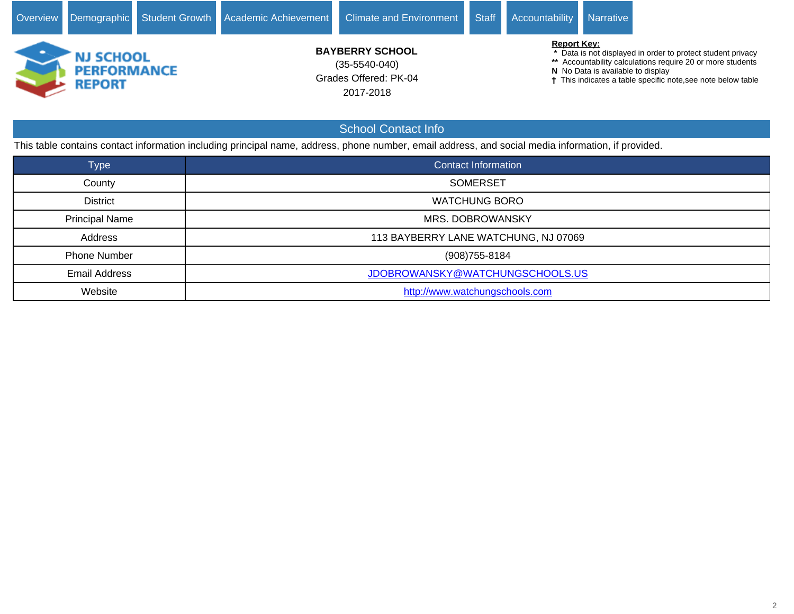

 **\*** Data is not displayed in order to protect student privacy

**\*\*** Accountability calculations require 20 or more students

**N** No Data is available to display

This indicates a table specific note, see note below table

This table contains contact information including principal name, address, phone number, email address, and social media information, if provided.

| <b>Type</b>           | Contact Information                  |
|-----------------------|--------------------------------------|
| County                | <b>SOMERSET</b>                      |
| <b>District</b>       | <b>WATCHUNG BORO</b>                 |
| <b>Principal Name</b> | MRS. DOBROWANSKY                     |
| Address               | 113 BAYBERRY LANE WATCHUNG, NJ 07069 |
| <b>Phone Number</b>   | (908) 755-8184                       |
| <b>Email Address</b>  | JDOBROWANSKY@WATCHUNGSCHOOLS.US      |
| Website               | http://www.watchungschools.com       |

School Contact Info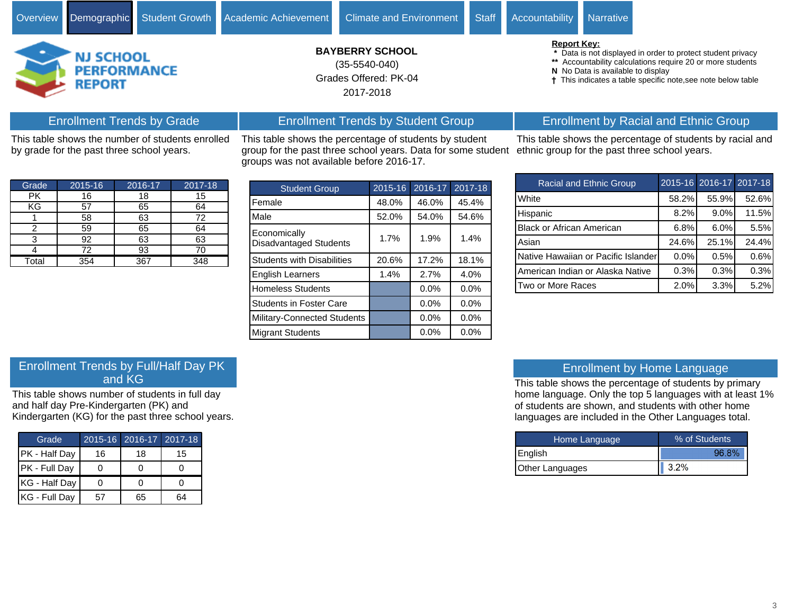

Grades Offered: PK-04 **BAYBERRY SCHOOL** 2017-2018 (35-5540-040)

This table shows the percentage of students by student group for the past three school years. Data for some student

Enrollment Trends by Student Group

groups was not available before 2016-17.

# Enrollment Trends by Grade

This table shows the number of students enrolled by grade for the past three school years.

| Grade | 2015-16 | 2016-17 | 2017-18 |
|-------|---------|---------|---------|
| РK    | 16      | 18      | 15      |
| KG    | 57      | 65      | 64      |
|       | 58      | 63      | 72      |
| 2     | 59      | 65      | 64      |
| 3     | 92      | 63      | 63      |
|       | 72      | 93      |         |
| Total | 354     | 367     | 348     |

| <b>Student Group</b>                          | 2015-16 | 2016-17 | $2017 - 18$ |
|-----------------------------------------------|---------|---------|-------------|
| Female                                        | 48.0%   | 46.0%   | 45.4%       |
| Male                                          | 52.0%   | 54.0%   | 54.6%       |
| Economically<br><b>Disadvantaged Students</b> | 1.7%    | 1.9%    | 1.4%        |
| <b>Students with Disabilities</b>             | 20.6%   | 17.2%   | 18.1%       |
| <b>English Learners</b>                       | 1.4%    | 2.7%    | 4.0%        |
| <b>Homeless Students</b>                      |         | 0.0%    | 0.0%        |
| <b>Students in Foster Care</b>                |         | $0.0\%$ | 0.0%        |
| Military-Connected Students                   |         | $0.0\%$ | 0.0%        |
| <b>Migrant Students</b>                       |         | 0.0%    | 0.0%        |

#### **Report Key:**

- **\*** Data is not displayed in order to protect student privacy
- **\*\*** Accountability calculations require 20 or more students
- **N** No Data is available to display
- This indicates a table specific note,see note below table

# Enrollment by Racial and Ethnic Group

This table shows the percentage of students by racial and ethnic group for the past three school years.

| Racial and Ethnic Group             |       | 2015-16 2016-17 2017-18 |       |
|-------------------------------------|-------|-------------------------|-------|
| White                               | 58.2% | 55.9%                   | 52.6% |
| Hispanic                            | 8.2%  | 9.0%                    | 11.5% |
| <b>Black or African American</b>    | 6.8%  | 6.0%                    | 5.5%  |
| Asian                               | 24.6% | 25.1%                   | 24.4% |
| Native Hawaiian or Pacific Islander | 0.0%  | 0.5%                    | 0.6%  |
| American Indian or Alaska Native    | 0.3%  | 0.3%                    | 0.3%  |
| Two or More Races                   | 2.0%  | 3.3%                    | 5.2%  |

# Enrollment Trends by Full/Half Day PK and KG

This table shows number of students in full day and half day Pre-Kindergarten (PK) and Kindergarten (KG) for the past three school years.

| Grade         |    | 2015-16 2016-17 2017-18 |    |
|---------------|----|-------------------------|----|
| PK - Half Day | 16 | 18                      | 15 |
| PK - Full Day |    |                         |    |
| KG - Half Day |    |                         |    |
| KG - Full Day | 57 | 65                      | 64 |

# Enrollment by Home Language

This table shows the percentage of students by primary home language. Only the top 5 languages with at least 1% of students are shown, and students with other home languages are included in the Other Languages total.

| Home Language   | % of Students |  |  |  |  |
|-----------------|---------------|--|--|--|--|
| <b>English</b>  | 96.8%         |  |  |  |  |
| Other Languages | 3.2%          |  |  |  |  |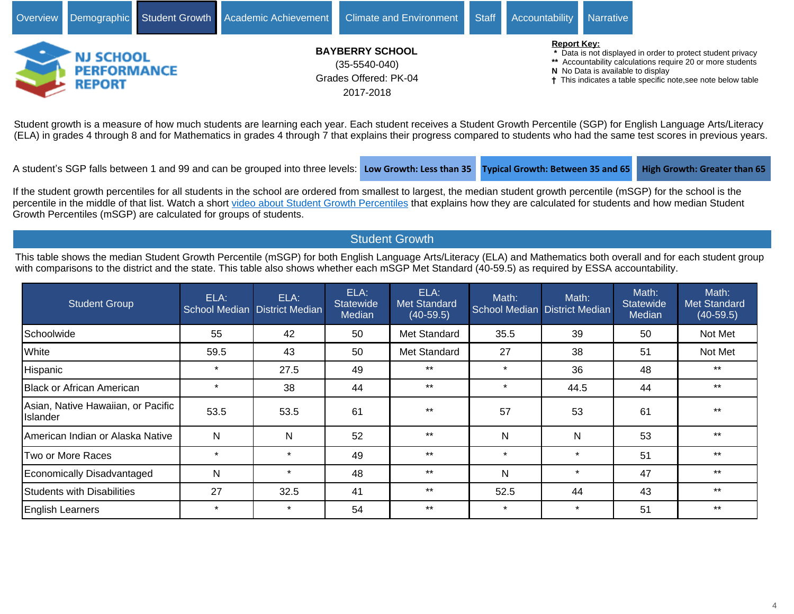

Student growth is a measure of how much students are learning each year. Each student receives a Student Growth Percentile (SGP) for English Language Arts/Literacy (ELA) in grades 4 through 8 and for Mathematics in grades 4 through 7 that explains their progress compared to students who had the same test scores in previous years.

A student's SGP falls between 1 and 99 and can be grouped into three levels: Low Growth: Less than 35 **Typical Growth: Between 35 and 65** High Growth: Greater than 65

If the student growth percentiles for all students in the school are ordered from smallest to largest, the median student growth percentile (mSGP) for the school is the percentile in the middle of that list. Watch a short [video about Student Growth Percentiles](http://survey.pcgus.com/njgrowth/player.html) that explains how they are calculated for students and how median Student Growth Percentiles (mSGP) are calculated for groups of students.

# Student Growth

This table shows the median Student Growth Percentile (mSGP) for both English Language Arts/Literacy (ELA) and Mathematics both overall and for each student group with comparisons to the district and the state. This table also shows whether each mSGP Met Standard (40-59.5) as required by ESSA accountability.

| <b>Student Group</b>                            | ELA:    | ELA:<br>School Median District Median | ELA:<br>Statewide<br>Median | ELA:<br><b>Met Standard</b><br>$(40-59.5)$ | Math:        | Math:<br>School Median District Median | Math:<br><b>Statewide</b><br>Median | Math:<br>Met Standard<br>$(40-59.5)$ |
|-------------------------------------------------|---------|---------------------------------------|-----------------------------|--------------------------------------------|--------------|----------------------------------------|-------------------------------------|--------------------------------------|
| Schoolwide                                      | 55      | 42                                    | 50                          | Met Standard                               | 35.5         | 39                                     | 50                                  | Not Met                              |
| White                                           | 59.5    | 43                                    | 50                          | Met Standard                               | 27           | 38                                     | 51                                  | Not Met                              |
| Hispanic                                        | $\star$ | 27.5                                  | 49                          | $***$                                      | $\star$      | 36                                     | 48                                  | $***$                                |
| Black or African American                       | $\star$ | 38                                    | 44                          | $***$                                      | $\star$      | 44.5                                   | 44                                  | $***$                                |
| Asian, Native Hawaiian, or Pacific<br>lIslander | 53.5    | 53.5                                  | 61                          | $***$                                      | 57           | 53                                     | 61                                  | $***$                                |
| American Indian or Alaska Native                | N       | N                                     | 52                          | $***$                                      | N            | $\mathsf{N}$                           | 53                                  | $***$                                |
| Two or More Races                               | $\star$ | $\star$                               | 49                          | $***$                                      | $\star$      | $\star$                                | 51                                  | $***$                                |
| Economically Disadvantaged                      | N       | $\star$                               | 48                          | $***$                                      | $\mathsf{N}$ | $\star$                                | 47                                  | $***$                                |
| Students with Disabilities                      | 27      | 32.5                                  | 41                          | $***$                                      | 52.5         | 44                                     | 43                                  | $***$                                |
| <b>English Learners</b>                         | $\star$ | $\star$                               | 54                          | $***$                                      | $\star$      | $\star$                                | 51                                  | $***$                                |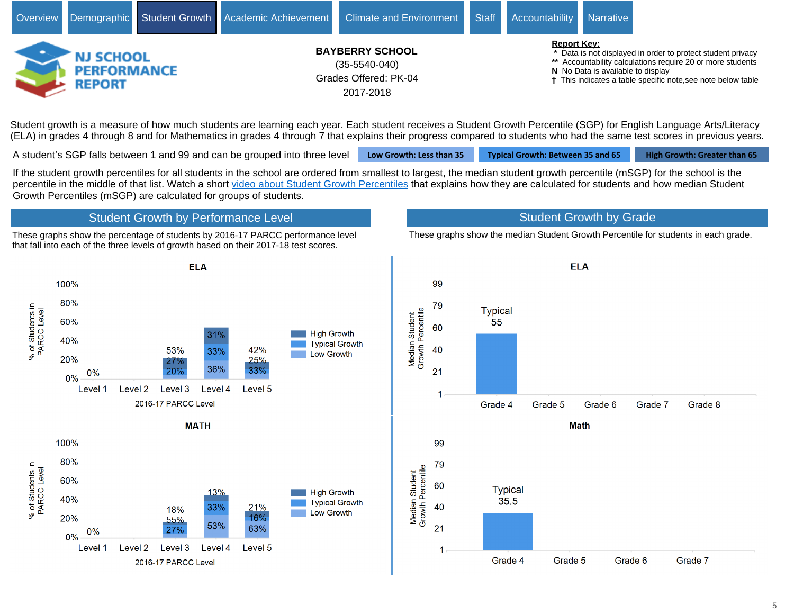

Student growth is a measure of how much students are learning each year. Each student receives a Student Growth Percentile (SGP) for English Language Arts/Literacy (ELA) in grades 4 through 8 and for Mathematics in grades 4 through 7 that explains their progress compared to students who had the same test scores in previous years.

A student's SGP falls between 1 and 99 and can be grouped into three level **Low Growth: Less than 35 Typical Growth: Between 35 and 65** High Growth: Greater than 65

If the student growth percentiles for all students in the school are ordered from smallest to largest, the median student growth percentile (mSGP) for the school is the percentile in the middle of that list. Watch a short [video about Student Growth Percentiles](http://survey.pcgus.com/njgrowth/player.html) that explains how they are calculated for students and how median Student Growth Percentiles (mSGP) are calculated for groups of students.

# Student Growth by Performance Level

These graphs show the percentage of students by 2016-17 PARCC performance level that fall into each of the three levels of growth based on their 2017-18 test scores.

# Student Growth by Grade

These graphs show the median Student Growth Percentile for students in each grade.



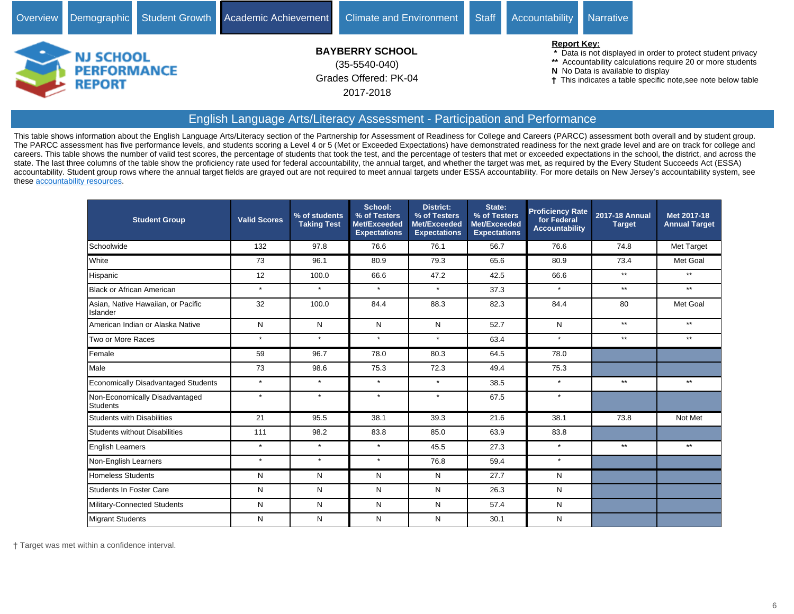

# English Language Arts/Literacy Assessment - Participation and Performance

This table shows information about the English Language Arts/Literacy section of the Partnership for Assessment of Readiness for College and Careers (PARCC) assessment both overall and by student group. The PARCC assessment has five performance levels, and students scoring a Level 4 or 5 (Met or Exceeded Expectations) have demonstrated readiness for the next grade level and are on track for college and careers. This table shows the number of valid test scores, the percentage of students that took the test, and the percentage of testers that met or exceeded expectations in the school, the district, and across the state. The last three columns of the table show the proficiency rate used for federal accountability, the annual target, and whether the target was met, as required by the Every Student Succeeds Act (ESSA) accountability. Student group rows where the annual target fields are grayed out are not required to meet annual targets under ESSA accountability. For more details on New Jersey's accountability system, see these [accountability resources.](https://www.state.nj.us/education/title1/accountability/progress/18/)

| <b>Student Group</b>                           | <b>Valid Scores</b> | % of students<br><b>Taking Test</b> | School:<br>% of Testers<br>Met/Exceeded<br><b>Expectations</b> | <b>District:</b><br>% of Testers<br>Met/Exceeded<br><b>Expectations</b> | State:<br>% of Testers<br>Met/Exceeded<br><b>Expectations</b> | <b>Proficiency Rate</b><br>for Federal<br><b>Accountability</b> | <b>2017-18 Annual</b><br><b>Target</b> | Met 2017-18<br><b>Annual Target</b> |
|------------------------------------------------|---------------------|-------------------------------------|----------------------------------------------------------------|-------------------------------------------------------------------------|---------------------------------------------------------------|-----------------------------------------------------------------|----------------------------------------|-------------------------------------|
| Schoolwide                                     | 132                 | 97.8                                | 76.6                                                           | 76.1                                                                    | 56.7                                                          | 76.6                                                            | 74.8                                   | Met Target                          |
| White                                          | 73                  | 96.1                                | 80.9                                                           | 79.3                                                                    | 65.6                                                          | 80.9                                                            | 73.4                                   | Met Goal                            |
| Hispanic                                       | 12                  | 100.0                               | 66.6                                                           | 47.2                                                                    | 42.5                                                          | 66.6                                                            | $***$                                  | $**$                                |
| <b>Black or African American</b>               | $\star$             | $\star$                             | $\star$                                                        | $\star$                                                                 | 37.3                                                          | $\star$                                                         | $***$                                  | $**$                                |
| Asian, Native Hawaiian, or Pacific<br>Islander | 32                  | 100.0                               | 84.4                                                           | 88.3                                                                    | 82.3                                                          | 84.4                                                            | 80                                     | Met Goal                            |
| American Indian or Alaska Native               | N                   | N                                   | N                                                              | N                                                                       | 52.7                                                          | N                                                               | $**$                                   | $***$                               |
| Two or More Races                              | $\star$             | $\star$                             | $\star$                                                        | $\star$                                                                 | 63.4                                                          | $\star$                                                         | $**$                                   | $**$                                |
| Female                                         | 59                  | 96.7                                | 78.0                                                           | 80.3                                                                    | 64.5                                                          | 78.0                                                            |                                        |                                     |
| Male                                           | 73                  | 98.6                                | 75.3                                                           | 72.3                                                                    | 49.4                                                          | 75.3                                                            |                                        |                                     |
| Economically Disadvantaged Students            | $\star$             | $\star$                             | $\star$                                                        | $\star$                                                                 | 38.5                                                          | $\star$                                                         | $***$                                  | $***$                               |
| Non-Economically Disadvantaged<br>Students     | $\star$             | $\star$                             | $\star$                                                        | $\star$                                                                 | 67.5                                                          | $\star$                                                         |                                        |                                     |
| <b>Students with Disabilities</b>              | 21                  | 95.5                                | 38.1                                                           | 39.3                                                                    | 21.6                                                          | 38.1                                                            | 73.8                                   | Not Met                             |
| <b>Students without Disabilities</b>           | 111                 | 98.2                                | 83.8                                                           | 85.0                                                                    | 63.9                                                          | 83.8                                                            |                                        |                                     |
| <b>English Learners</b>                        | $\star$             | $\star$                             | $\star$                                                        | 45.5                                                                    | 27.3                                                          | $\star$                                                         | $**$                                   | $***$                               |
| Non-English Learners                           | $\star$             | $\star$                             | $\star$                                                        | 76.8                                                                    | 59.4                                                          | $\star$                                                         |                                        |                                     |
| <b>Homeless Students</b>                       | N                   | N                                   | N                                                              | N                                                                       | 27.7                                                          | N                                                               |                                        |                                     |
| Students In Foster Care                        | N                   | N                                   | N                                                              | N                                                                       | 26.3                                                          | N                                                               |                                        |                                     |
| Military-Connected Students                    | N                   | N                                   | N                                                              | N                                                                       | 57.4                                                          | N                                                               |                                        |                                     |
| Migrant Students                               | N                   | N                                   | N                                                              | N                                                                       | 30.1                                                          | N                                                               |                                        |                                     |

Target was met within a confidence interval.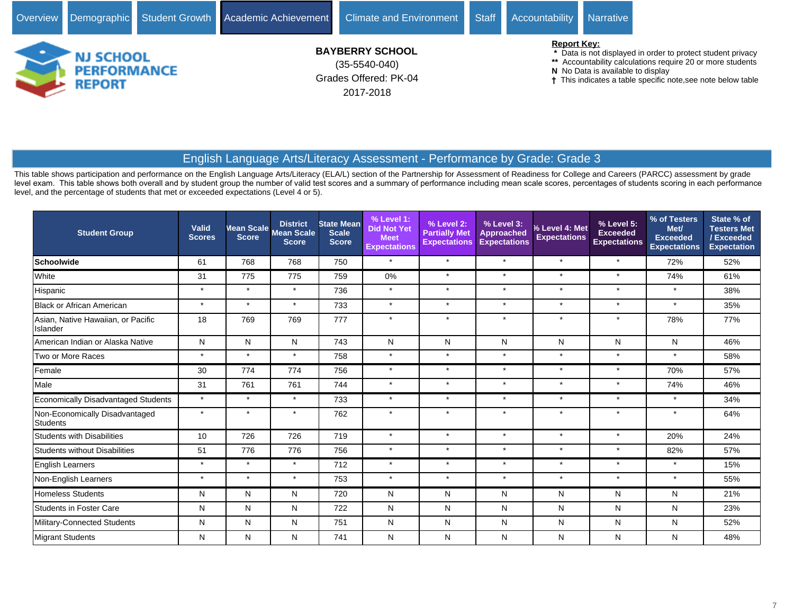# 2017-2018

- **\*** Data is not displayed in order to protect student privacy
- **\*\*** Accountability calculations require 20 or more students
- **N** No Data is available to display
- This indicates a table specific note,see note below table

# English Language Arts/Literacy Assessment - Performance by Grade: Grade 3

This table shows participation and performance on the English Language Arts/Literacy (ELA/L) section of the Partnership for Assessment of Readiness for College and Careers (PARCC) assessment by grade level exam. This table shows both overall and by student group the number of valid test scores and a summary of performance including mean scale scores, percentages of students scoring in each performance level, and the percentage of students that met or exceeded expectations (Level 4 or 5).

| <b>Student Group</b>                              | Valid<br><b>Scores</b> | <b>Score</b> | <b>District</b><br>Mean Scale Mean Scale<br><b>Score</b> | <b>State Mean</b><br><b>Scale</b><br><b>Score</b> | $%$ Level 1:<br><b>Did Not Yet</b><br><b>Meet</b><br><b>Expectations</b> | % Level 2:<br><b>Partially Met</b><br><b>Expectations</b> | % Level 3:<br>Approached<br><b>Expectations</b> | % Level 4: Met<br><b>Expectations</b> | % Level 5:<br><b>Exceeded</b><br><b>Expectations</b> | % of Testers<br>Met/<br><b>Exceeded</b><br><b>Expectations</b> | State % of<br><b>Testers Met</b><br>/Exceeded<br><b>Expectation</b> |
|---------------------------------------------------|------------------------|--------------|----------------------------------------------------------|---------------------------------------------------|--------------------------------------------------------------------------|-----------------------------------------------------------|-------------------------------------------------|---------------------------------------|------------------------------------------------------|----------------------------------------------------------------|---------------------------------------------------------------------|
| <b>Schoolwide</b>                                 | 61                     | 768          | 768                                                      | 750                                               | $\star$                                                                  | $\star$                                                   | $\star$                                         | $\star$                               | $\star$                                              | 72%                                                            | 52%                                                                 |
| White                                             | 31                     | 775          | 775                                                      | 759                                               | 0%                                                                       | $\star$                                                   | $\star$                                         | $\star$                               | $\star$                                              | 74%                                                            | 61%                                                                 |
| Hispanic                                          | $\star$                | $\star$      | $\star$                                                  | 736                                               | $\star$                                                                  | $\star$                                                   | $\star$                                         | $\star$                               | $\star$                                              | $\star$                                                        | 38%                                                                 |
| <b>Black or African American</b>                  | $\star$                | $\star$      | $\star$                                                  | 733                                               | $\star$                                                                  | $\star$                                                   | $\star$                                         | $\star$                               | $\star$                                              | $\star$                                                        | 35%                                                                 |
| Asian, Native Hawaiian, or Pacific<br>Islander    | 18                     | 769          | 769                                                      | 777                                               | $\star$                                                                  | $\star$                                                   | $\star$                                         | $\star$                               | $\star$                                              | 78%                                                            | 77%                                                                 |
| American Indian or Alaska Native                  | N                      | N            | N                                                        | 743                                               | N                                                                        | N                                                         | N                                               | N                                     | N                                                    | Ν                                                              | 46%                                                                 |
| Two or More Races                                 | $\star$                | $\star$      | $\star$                                                  | 758                                               | $\star$                                                                  | $\star$                                                   | $\star$                                         | $\star$                               | $\star$                                              | $\star$                                                        | 58%                                                                 |
| Female                                            | 30                     | 774          | 774                                                      | 756                                               | $\star$                                                                  | $\star$                                                   | $\star$                                         | $\star$                               | $\star$                                              | 70%                                                            | 57%                                                                 |
| Male                                              | 31                     | 761          | 761                                                      | 744                                               | $\star$                                                                  | $\star$                                                   | $\star$                                         | $\star$                               | $\star$                                              | 74%                                                            | 46%                                                                 |
| Economically Disadvantaged Students               | $\star$                | $\star$      | $\star$                                                  | 733                                               | $\star$                                                                  | $\star$                                                   | $\star$                                         | $\star$                               | $\star$                                              | $\star$                                                        | 34%                                                                 |
| Non-Economically Disadvantaged<br><b>Students</b> | $\star$                | $\star$      | $\star$                                                  | 762                                               | $\star$                                                                  |                                                           | $\star$                                         | $\star$                               | $\star$                                              |                                                                | 64%                                                                 |
| <b>Students with Disabilities</b>                 | 10                     | 726          | 726                                                      | 719                                               | $\star$                                                                  | $\star$                                                   | $\star$                                         | $\star$                               | $\star$                                              | 20%                                                            | 24%                                                                 |
| <b>Students without Disabilities</b>              | 51                     | 776          | 776                                                      | 756                                               | $\star$                                                                  | $\ddot{\phantom{1}}$                                      | $\star$                                         | $\star$                               | $\star$                                              | 82%                                                            | 57%                                                                 |
| English Learners                                  | $\star$                | $\star$      | $\star$                                                  | 712                                               | $\star$                                                                  | $\star$                                                   | $\star$                                         | $\star$                               | $\star$                                              | $\star$                                                        | 15%                                                                 |
| Non-English Learners                              | $\star$                | $\star$      | $\star$                                                  | 753                                               | $\star$                                                                  | $\star$                                                   | $\star$                                         | $\star$                               | $\star$                                              | $\star$                                                        | 55%                                                                 |
| <b>Homeless Students</b>                          | N                      | N            | N                                                        | 720                                               | N                                                                        | N                                                         | N                                               | N                                     | N                                                    | N                                                              | 21%                                                                 |
| <b>Students in Foster Care</b>                    | N                      | N            | N                                                        | 722                                               | N                                                                        | N                                                         | N                                               | N                                     | N                                                    | N                                                              | 23%                                                                 |
| Military-Connected Students                       | N                      | N            | N                                                        | 751                                               | N                                                                        | N                                                         | N                                               | N                                     | N                                                    | Ν                                                              | 52%                                                                 |
| Migrant Students                                  | N                      | N            | N                                                        | 741                                               | N                                                                        | N                                                         | N                                               | N                                     | N                                                    | N                                                              | 48%                                                                 |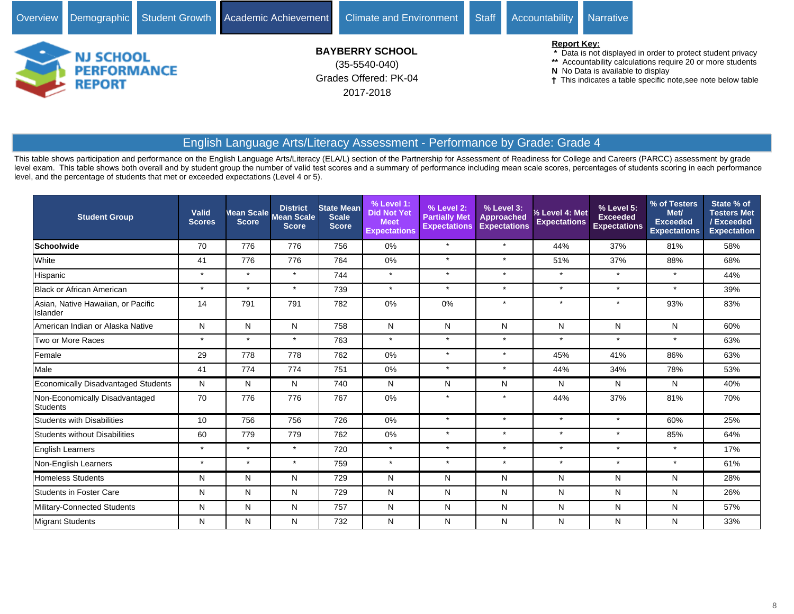![](_page_7_Picture_0.jpeg)

# English Language Arts/Literacy Assessment - Performance by Grade: Grade 4

This table shows participation and performance on the English Language Arts/Literacy (ELA/L) section of the Partnership for Assessment of Readiness for College and Careers (PARCC) assessment by grade level exam. This table shows both overall and by student group the number of valid test scores and a summary of performance including mean scale scores, percentages of students scoring in each performance level, and the percentage of students that met or exceeded expectations (Level 4 or 5).

| <b>Student Group</b>                           | Valid<br><b>Scores</b> | Mean Scale<br><b>Score</b> | <b>District</b><br><b>Mean Scale</b><br><b>Score</b> | <b>State Mean</b><br><b>Scale</b><br><b>Score</b> | % Level 1:<br><b>Did Not Yet</b><br><b>Meet</b><br><b>Expectations</b> | % Level 2:<br><b>Partially Met</b><br><b>Expectations</b> | % Level 3:<br><b>Approached</b><br><b>Expectations</b> | % Level 4: Met<br><b>Expectations</b> | % Level 5:<br><b>Exceeded</b><br><b>Expectations</b> | % of Testers<br>Met/<br><b>Exceeded</b><br><b>Expectations</b> | State % of<br><b>Testers Met</b><br>/ Exceeded<br><b>Expectation</b> |
|------------------------------------------------|------------------------|----------------------------|------------------------------------------------------|---------------------------------------------------|------------------------------------------------------------------------|-----------------------------------------------------------|--------------------------------------------------------|---------------------------------------|------------------------------------------------------|----------------------------------------------------------------|----------------------------------------------------------------------|
| <b>Schoolwide</b>                              | 70                     | 776                        | 776                                                  | 756                                               | 0%                                                                     | $\star$                                                   | $\star$                                                | 44%                                   | 37%                                                  | 81%                                                            | 58%                                                                  |
| White                                          | 41                     | 776                        | 776                                                  | 764                                               | 0%                                                                     | $\star$                                                   | $\star$                                                | 51%                                   | 37%                                                  | 88%                                                            | 68%                                                                  |
| Hispanic                                       | $\star$                | $\star$                    | $\star$                                              | 744                                               | $\star$                                                                | $\star$                                                   | $\star$                                                | $\star$                               | $\star$                                              | $\star$                                                        | 44%                                                                  |
| Black or African American                      | $\star$                | $\star$                    | $\star$                                              | 739                                               | $\star$                                                                | $\star$                                                   | $\star$                                                | $\star$                               | $\star$                                              | $\star$                                                        | 39%                                                                  |
| Asian, Native Hawaiian, or Pacific<br>Islander | 14                     | 791                        | 791                                                  | 782                                               | 0%                                                                     | 0%                                                        | $\star$                                                | $\star$                               | $\star$                                              | 93%                                                            | 83%                                                                  |
| American Indian or Alaska Native               | N                      | N                          | N                                                    | 758                                               | N                                                                      | N                                                         | N                                                      | N                                     | N                                                    | N                                                              | 60%                                                                  |
| Two or More Races                              | $\star$                | $\star$                    | $\star$                                              | 763                                               | $\star$                                                                | $\star$                                                   | $\star$                                                | $\star$                               | $\star$                                              | $\star$                                                        | 63%                                                                  |
| Female                                         | 29                     | 778                        | 778                                                  | 762                                               | 0%                                                                     | $\star$                                                   | $\star$                                                | 45%                                   | 41%                                                  | 86%                                                            | 63%                                                                  |
| Male                                           | 41                     | 774                        | 774                                                  | 751                                               | 0%                                                                     | $\star$                                                   | $\star$                                                | 44%                                   | 34%                                                  | 78%                                                            | 53%                                                                  |
| Economically Disadvantaged Students            | N                      | N                          | N                                                    | 740                                               | N                                                                      | N                                                         | N                                                      | N                                     | N                                                    | N                                                              | 40%                                                                  |
| Non-Economically Disadvantaged<br>Students     | 70                     | 776                        | 776                                                  | 767                                               | 0%                                                                     |                                                           | $\star$                                                | 44%                                   | 37%                                                  | 81%                                                            | 70%                                                                  |
| <b>Students with Disabilities</b>              | 10                     | 756                        | 756                                                  | 726                                               | 0%                                                                     | $\star$                                                   | $\star$                                                | $\star$                               | $\star$                                              | 60%                                                            | 25%                                                                  |
| <b>Students without Disabilities</b>           | 60                     | 779                        | 779                                                  | 762                                               | 0%                                                                     | $\star$                                                   | $\star$                                                | $\star$                               | $\star$                                              | 85%                                                            | 64%                                                                  |
| <b>English Learners</b>                        | $\star$                | $\star$                    | $\star$                                              | 720                                               | $\star$                                                                | $\star$                                                   | $\star$                                                | $\star$                               | $\star$                                              | $\star$                                                        | 17%                                                                  |
| Non-English Learners                           | $\star$                | $\star$                    | $\star$                                              | 759                                               | $\star$                                                                | $\star$                                                   | $\star$                                                | $\star$                               | $\star$                                              | $\star$                                                        | 61%                                                                  |
| Homeless Students                              | N                      | N                          | N                                                    | 729                                               | N                                                                      | N                                                         | N                                                      | N                                     | N                                                    | N                                                              | 28%                                                                  |
| Students in Foster Care                        | N                      | N                          | N                                                    | 729                                               | N                                                                      | N                                                         | N                                                      | N                                     | N                                                    | N                                                              | 26%                                                                  |
| Military-Connected Students                    | N                      | N                          | N                                                    | 757                                               | N                                                                      | N                                                         | N                                                      | N                                     | N                                                    | N                                                              | 57%                                                                  |
| Migrant Students                               | N                      | N                          | N                                                    | 732                                               | N                                                                      | N                                                         | N                                                      | N                                     | N                                                    | Ν                                                              | 33%                                                                  |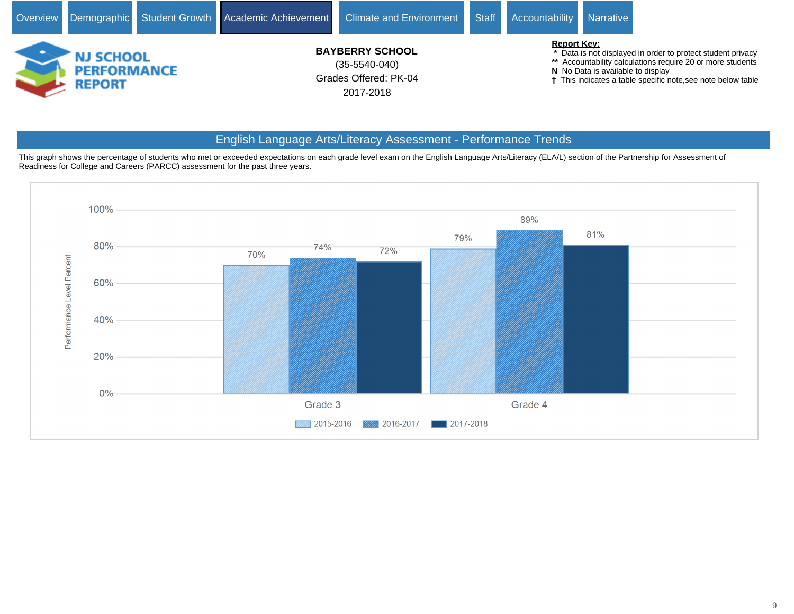![](_page_8_Picture_0.jpeg)

# English Language Arts/Literacy Assessment - Performance Trends

This graph shows the percentage of students who met or exceeded expectations on each grade level exam on the English Language Arts/Literacy (ELA/L) section of the Partnership for Assessment of Readiness for College and Careers (PARCC) assessment for the past three years.

![](_page_8_Figure_3.jpeg)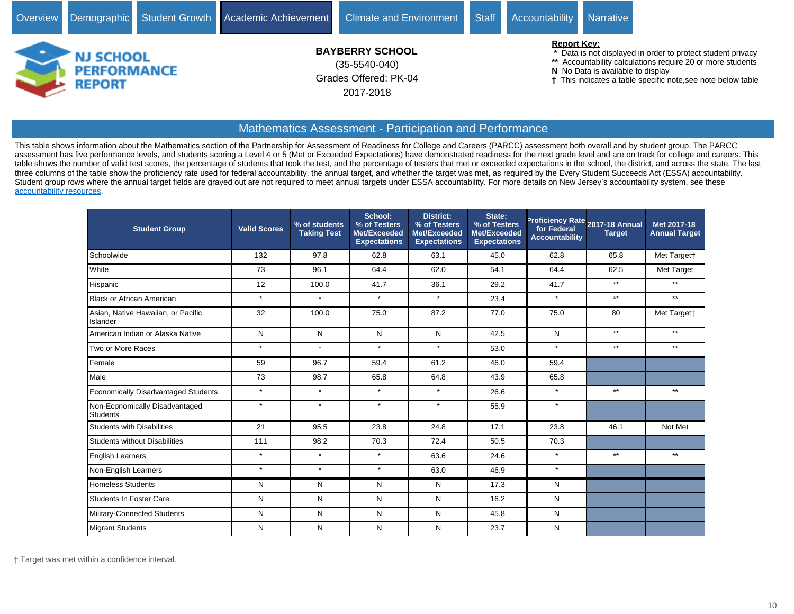![](_page_9_Picture_0.jpeg)

# Mathematics Assessment - Participation and Performance

This table shows information about the Mathematics section of the Partnership for Assessment of Readiness for College and Careers (PARCC) assessment both overall and by student group. The PARCC assessment has five performance levels, and students scoring a Level 4 or 5 (Met or Exceeded Expectations) have demonstrated readiness for the next grade level and are on track for college and careers. This table shows the number of valid test scores, the percentage of students that took the test, and the percentage of testers that met or exceeded expectations in the school, the district, and across the state. The last three columns of the table show the proficiency rate used for federal accountability, the annual target, and whether the target was met, as required by the Every Student Succeeds Act (ESSA) accountability. Student group rows where the annual target fields are grayed out are not required to meet annual targets under ESSA accountability. For more details on New Jersey's accountability system, see these [accountability resources.](https://www.state.nj.us/education/title1/accountability/progress/18/)

| <b>Student Group</b>                              | <b>Valid Scores</b> | % of students<br><b>Taking Test</b> | School:<br>% of Testers<br>Met/Exceeded<br><b>Expectations</b> | <b>District:</b><br>% of Testers<br><b>Met/Exceeded</b><br><b>Expectations</b> | State:<br>% of Testers<br>Met/Exceeded<br><b>Expectations</b> | for Federal<br><b>Accountability</b> | Proficiency Rate 2017-18 Annual<br><b>Target</b> | Met 2017-18<br><b>Annual Target</b> |
|---------------------------------------------------|---------------------|-------------------------------------|----------------------------------------------------------------|--------------------------------------------------------------------------------|---------------------------------------------------------------|--------------------------------------|--------------------------------------------------|-------------------------------------|
| Schoolwide                                        | 132                 | 97.8                                | 62.8                                                           | 63.1                                                                           | 45.0                                                          | 62.8                                 | 65.8                                             | Met Targett                         |
| White                                             | 73                  | 96.1                                | 64.4                                                           | 62.0                                                                           | 54.1                                                          | 64.4                                 | 62.5                                             | Met Target                          |
| Hispanic                                          | 12                  | 100.0                               | 41.7                                                           | 36.1                                                                           | 29.2                                                          | 41.7                                 | $***$                                            | $**$                                |
| <b>Black or African American</b>                  | $\star$             | $\star$                             | $\star$                                                        | $\star$                                                                        | 23.4                                                          | $\star$                              | $***$                                            | $***$                               |
| Asian, Native Hawaiian, or Pacific<br>Islander    | 32                  | 100.0                               | 75.0                                                           | 87.2                                                                           | 77.0                                                          | 75.0                                 | 80                                               | Met Targett                         |
| American Indian or Alaska Native                  | N                   | N                                   | N                                                              | N                                                                              | 42.5                                                          | N                                    | $**$                                             | $***$                               |
| Two or More Races                                 | $\star$             | $\star$                             | $\star$                                                        | $\star$                                                                        | 53.0                                                          | $\star$                              | $***$                                            | $***$                               |
| Female                                            | 59                  | 96.7                                | 59.4                                                           | 61.2                                                                           | 46.0                                                          | 59.4                                 |                                                  |                                     |
| Male                                              | 73                  | 98.7                                | 65.8                                                           | 64.8                                                                           | 43.9                                                          | 65.8                                 |                                                  |                                     |
| <b>Economically Disadvantaged Students</b>        | $\star$             | $\star$                             | $\star$                                                        | $\star$                                                                        | 26.6                                                          | $\star$                              | $**$                                             | $**$                                |
| Non-Economically Disadvantaged<br><b>Students</b> | $\star$             | $\star$                             | $\star$                                                        | $\star$                                                                        | 55.9                                                          | $\star$                              |                                                  |                                     |
| <b>Students with Disabilities</b>                 | 21                  | 95.5                                | 23.8                                                           | 24.8                                                                           | 17.1                                                          | 23.8                                 | 46.1                                             | Not Met                             |
| <b>Students without Disabilities</b>              | 111                 | 98.2                                | 70.3                                                           | 72.4                                                                           | 50.5                                                          | 70.3                                 |                                                  |                                     |
| <b>English Learners</b>                           | $\star$             | $\star$                             | $\star$                                                        | 63.6                                                                           | 24.6                                                          | $\star$                              | $**$                                             | $**$                                |
| Non-English Learners                              | $\star$             | $\star$                             | $\star$                                                        | 63.0                                                                           | 46.9                                                          | $\star$                              |                                                  |                                     |
| <b>Homeless Students</b>                          | N                   | N                                   | N                                                              | N                                                                              | 17.3                                                          | N                                    |                                                  |                                     |
| Students In Foster Care                           | N                   | N                                   | N                                                              | N                                                                              | 16.2                                                          | N                                    |                                                  |                                     |
| Military-Connected Students                       | N                   | N                                   | N                                                              | N                                                                              | 45.8                                                          | N                                    |                                                  |                                     |
| Migrant Students                                  | N                   | N                                   | N                                                              | N                                                                              | 23.7                                                          | N                                    |                                                  |                                     |

Target was met within a confidence interval.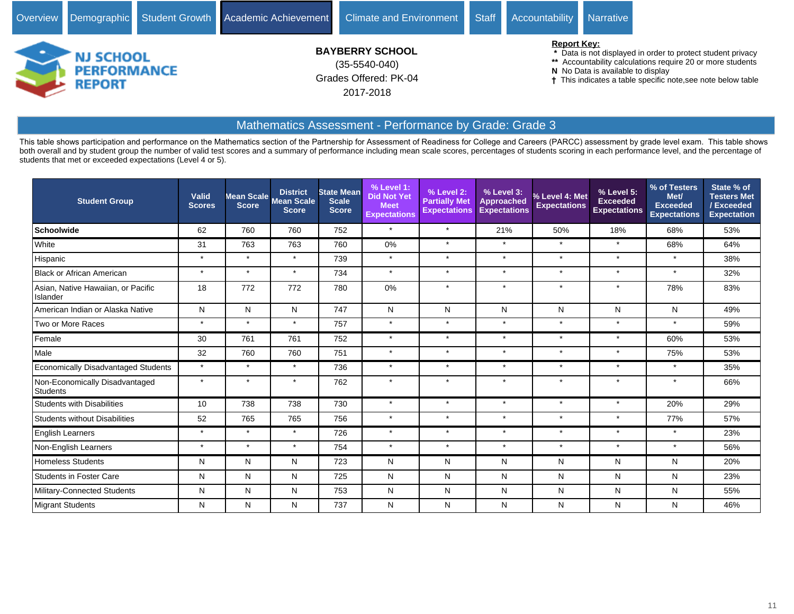![](_page_10_Picture_0.jpeg)

 **\*** Data is not displayed in order to protect student privacy

**\*\*** Accountability calculations require 20 or more students

**N** No Data is available to display

This indicates a table specific note,see note below table

# Mathematics Assessment - Performance by Grade: Grade 3

This table shows participation and performance on the Mathematics section of the Partnership for Assessment of Readiness for College and Careers (PARCC) assessment by grade level exam. This table shows both overall and by student group the number of valid test scores and a summary of performance including mean scale scores, percentages of students scoring in each performance level, and the percentage of students that met or exceeded expectations (Level 4 or 5).

| <b>Student Group</b>                              | Valid<br><b>Scores</b> | <b>Score</b> | <b>District</b><br>Mean Scale Mean Scale<br><b>Score</b> | <b>State Mean</b><br><b>Scale</b><br><b>Score</b> | % Level 1:<br><b>Did Not Yet</b><br><b>Meet</b><br><b>Expectations</b> | % Level 2:<br><b>Partially Met</b><br><b>Expectations</b> | $%$ Level 3:<br><b>Approached</b><br><b>Expectations</b> | % Level 4: Met<br><b>Expectations</b> | % Level 5:<br><b>Exceeded</b><br><b>Expectations</b> | % of Testers<br>Met/<br><b>Exceeded</b><br><b>Expectations</b> | State % of<br><b>Testers Met</b><br>/Exceeded<br><b>Expectation</b> |
|---------------------------------------------------|------------------------|--------------|----------------------------------------------------------|---------------------------------------------------|------------------------------------------------------------------------|-----------------------------------------------------------|----------------------------------------------------------|---------------------------------------|------------------------------------------------------|----------------------------------------------------------------|---------------------------------------------------------------------|
| <b>Schoolwide</b>                                 | 62                     | 760          | 760                                                      | 752                                               | $\star$                                                                | $\star$                                                   | 21%                                                      | 50%                                   | 18%                                                  | 68%                                                            | 53%                                                                 |
| White                                             | 31                     | 763          | 763                                                      | 760                                               | 0%                                                                     | $\star$                                                   | $\star$                                                  | $\star$                               | $\star$                                              | 68%                                                            | 64%                                                                 |
| Hispanic                                          | $\star$                | $\star$      | $\star$                                                  | 739                                               | $\star$                                                                | $\star$                                                   | $\star$                                                  | $\star$                               | $\star$                                              | $\star$                                                        | 38%                                                                 |
| <b>Black or African American</b>                  | $\star$                | $\star$      | $\star$                                                  | 734                                               | $\star$                                                                | $\star$                                                   | $\star$                                                  | $\star$                               | $\star$                                              | ÷                                                              | 32%                                                                 |
| Asian, Native Hawaiian, or Pacific<br>Islander    | 18                     | 772          | 772                                                      | 780                                               | 0%                                                                     | $\star$                                                   | $\star$                                                  | $\star$                               | $\star$                                              | 78%                                                            | 83%                                                                 |
| American Indian or Alaska Native                  | N                      | N            | N                                                        | 747                                               | N                                                                      | N                                                         | N                                                        | N                                     | N                                                    | N                                                              | 49%                                                                 |
| Two or More Races                                 | $\star$                | $\star$      | $\star$                                                  | 757                                               | $\star$                                                                | $\star$                                                   | $\star$                                                  | $\star$                               | $\star$                                              | $\star$                                                        | 59%                                                                 |
| Female                                            | 30                     | 761          | 761                                                      | 752                                               | $\star$                                                                | $\star$                                                   | $\star$                                                  | $\star$                               | $\star$                                              | 60%                                                            | 53%                                                                 |
| Male                                              | 32                     | 760          | 760                                                      | 751                                               | $\star$                                                                | $\star$                                                   | $\star$                                                  | $\star$                               | $\star$                                              | 75%                                                            | 53%                                                                 |
| <b>Economically Disadvantaged Students</b>        | $\star$                | $\star$      | $\star$                                                  | 736                                               | $\star$                                                                | $\star$                                                   | $\star$                                                  | $\star$                               | $\star$                                              | $\star$                                                        | 35%                                                                 |
| Non-Economically Disadvantaged<br><b>Students</b> | $\star$                | $\star$      |                                                          | 762                                               | $\star$                                                                | $\star$                                                   | $\star$                                                  | $\star$                               | $\star$                                              | $\star$                                                        | 66%                                                                 |
| <b>Students with Disabilities</b>                 | 10                     | 738          | 738                                                      | 730                                               | $\star$                                                                | $\star$                                                   | $\star$                                                  | $\star$                               | $\star$                                              | 20%                                                            | 29%                                                                 |
| <b>Students without Disabilities</b>              | 52                     | 765          | 765                                                      | 756                                               | $\star$                                                                | $\star$                                                   | $\star$                                                  | $\star$                               | $\star$                                              | 77%                                                            | 57%                                                                 |
| <b>English Learners</b>                           | $\star$                | $\star$      | $\star$                                                  | 726                                               | $\star$                                                                | $\star$                                                   | $\star$                                                  | $\star$                               | $\star$                                              | $\star$                                                        | 23%                                                                 |
| Non-English Learners                              | $\star$                | $\star$      | $\star$                                                  | 754                                               | $\star$                                                                | $\star$                                                   | $\star$                                                  | $\star$                               | $\star$                                              | $\star$                                                        | 56%                                                                 |
| <b>Homeless Students</b>                          | N                      | N            | N                                                        | 723                                               | N                                                                      | N                                                         | N                                                        | N                                     | N                                                    | N                                                              | 20%                                                                 |
| <b>Students in Foster Care</b>                    | N                      | N            | N                                                        | 725                                               | N                                                                      | N                                                         | N                                                        | N                                     | N                                                    | N                                                              | 23%                                                                 |
| Military-Connected Students                       | N                      | N            | N                                                        | 753                                               | N                                                                      | N                                                         | N                                                        | N                                     | N                                                    | N                                                              | 55%                                                                 |
| Migrant Students                                  | N                      | N            | N                                                        | 737                                               | N                                                                      | N                                                         | N                                                        | ${\sf N}$                             | N                                                    | N                                                              | 46%                                                                 |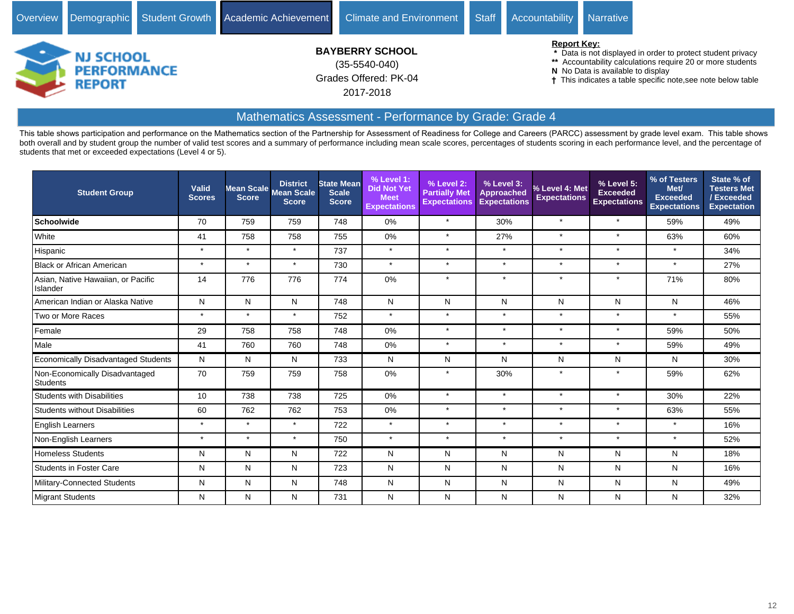![](_page_11_Picture_0.jpeg)

# Mathematics Assessment - Performance by Grade: Grade 4

This table shows participation and performance on the Mathematics section of the Partnership for Assessment of Readiness for College and Careers (PARCC) assessment by grade level exam. This table shows both overall and by student group the number of valid test scores and a summary of performance including mean scale scores, percentages of students scoring in each performance level, and the percentage of students that met or exceeded expectations (Level 4 or 5).

| <b>Student Group</b>                              | <b>Valid</b><br><b>Scores</b> | <b>Score</b> | <b>District</b><br>Mean Scale Mean Scale<br><b>Score</b> | <b>State Mean</b><br><b>Scale</b><br><b>Score</b> | $%$ Level 1:<br><b>Did Not Yet</b><br><b>Meet</b><br><b>Expectations</b> | $%$ Level 2:<br><b>Partially Met</b><br><b>Expectations</b> | % Level 3:<br><b>Approached</b><br><b>Expectations</b> | % Level 4: Met<br><b>Expectations</b> | % Level 5:<br><b>Exceeded</b><br><b>Expectations</b> | % of Testers<br>Met/<br><b>Exceeded</b><br><b>Expectations</b> | State % of<br><b>Testers Met</b><br>/Exceeded<br>Expectation |
|---------------------------------------------------|-------------------------------|--------------|----------------------------------------------------------|---------------------------------------------------|--------------------------------------------------------------------------|-------------------------------------------------------------|--------------------------------------------------------|---------------------------------------|------------------------------------------------------|----------------------------------------------------------------|--------------------------------------------------------------|
| <b>Schoolwide</b>                                 | 70                            | 759          | 759                                                      | 748                                               | 0%                                                                       | $\star$                                                     | 30%                                                    | $\star$                               | $\star$                                              | 59%                                                            | 49%                                                          |
| White                                             | 41                            | 758          | 758                                                      | 755                                               | 0%                                                                       | $\star$                                                     | 27%                                                    | $\star$                               | $\star$                                              | 63%                                                            | 60%                                                          |
| Hispanic                                          | $\star$                       | $\star$      | $\star$                                                  | 737                                               | $\star$                                                                  | $\star$                                                     | $\star$                                                | $\star$                               | $\star$                                              | $\star$                                                        | 34%                                                          |
| <b>Black or African American</b>                  | $\star$                       | $\star$      | $\star$                                                  | 730                                               | $\star$                                                                  | $\ddot{\phantom{1}}$                                        | $\star$                                                | $\star$                               | $\star$                                              | $\star$                                                        | 27%                                                          |
| Asian, Native Hawaiian, or Pacific<br>Islander    | 14                            | 776          | 776                                                      | 774                                               | 0%                                                                       | $\star$                                                     | $\star$                                                | $\star$                               | $\star$                                              | 71%                                                            | 80%                                                          |
| American Indian or Alaska Native                  | N                             | N            | N                                                        | 748                                               | N                                                                        | N                                                           | N                                                      | N                                     | N                                                    | N                                                              | 46%                                                          |
| Two or More Races                                 | $\star$                       | $\star$      | $\star$                                                  | 752                                               | $\star$                                                                  | $\star$                                                     | $\star$                                                | $\star$                               | $\star$                                              | $\star$                                                        | 55%                                                          |
| Female                                            | 29                            | 758          | 758                                                      | 748                                               | 0%                                                                       | $\star$                                                     | $\star$                                                | $\star$                               | $\star$                                              | 59%                                                            | 50%                                                          |
| Male                                              | 41                            | 760          | 760                                                      | 748                                               | 0%                                                                       |                                                             | $\star$                                                | $\star$                               | $\star$                                              | 59%                                                            | 49%                                                          |
| <b>Economically Disadvantaged Students</b>        | N                             | N            | N                                                        | 733                                               | N                                                                        | N                                                           | N                                                      | N                                     | N                                                    | Ν                                                              | 30%                                                          |
| Non-Economically Disadvantaged<br><b>Students</b> | 70                            | 759          | 759                                                      | 758                                               | 0%                                                                       |                                                             | 30%                                                    | $\star$                               | $\star$                                              | 59%                                                            | 62%                                                          |
| <b>Students with Disabilities</b>                 | 10                            | 738          | 738                                                      | 725                                               | 0%                                                                       | $\star$                                                     | $\star$                                                | $\star$                               | $\star$                                              | 30%                                                            | 22%                                                          |
| <b>Students without Disabilities</b>              | 60                            | 762          | 762                                                      | 753                                               | $0\%$                                                                    | $\star$                                                     | $\star$                                                | $\star$                               | $\star$                                              | 63%                                                            | 55%                                                          |
| <b>English Learners</b>                           | $\star$                       | $\star$      | $\star$                                                  | 722                                               | $\star$                                                                  | $\star$                                                     | $\star$                                                | $\star$                               | $\star$                                              | $\star$                                                        | 16%                                                          |
| Non-English Learners                              | $\star$                       | $\star$      | $\star$                                                  | 750                                               | $\star$                                                                  | $\star$                                                     | $\star$                                                | $\star$                               | $\star$                                              | $\star$                                                        | 52%                                                          |
| <b>Homeless Students</b>                          | N                             | N            | N                                                        | 722                                               | N                                                                        | N                                                           | N                                                      | N                                     | N                                                    | Ν                                                              | 18%                                                          |
| <b>Students in Foster Care</b>                    | N                             | N            | N                                                        | 723                                               | N                                                                        | N                                                           | N                                                      | N                                     | N                                                    | Ν                                                              | 16%                                                          |
| Military-Connected Students                       | N                             | N            | N                                                        | 748                                               | N                                                                        | N                                                           | N                                                      | N                                     | N                                                    | Ν                                                              | 49%                                                          |
| Migrant Students                                  | N                             | N            | N                                                        | 731                                               | ${\sf N}$                                                                | N                                                           | N                                                      | N                                     | ${\sf N}$                                            | N                                                              | 32%                                                          |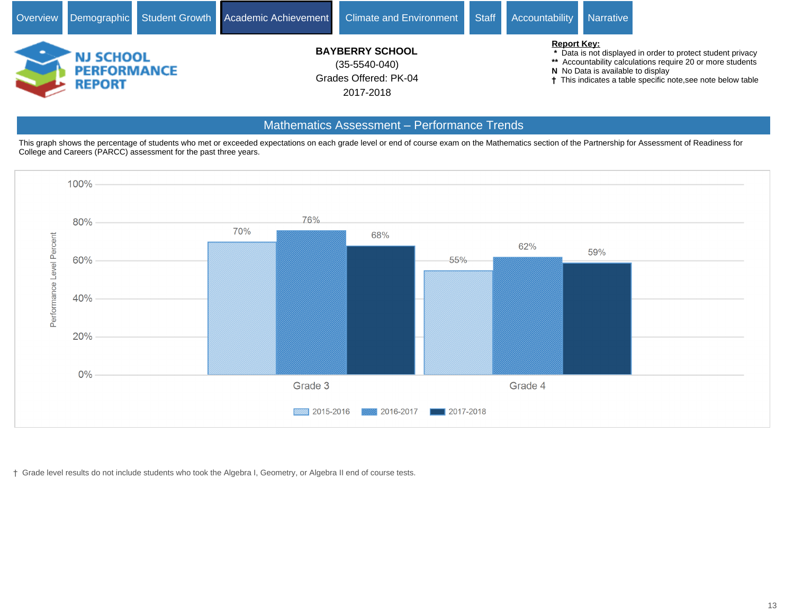![](_page_12_Picture_0.jpeg)

### Mathematics Assessment - Performance Trends

This graph shows the percentage of students who met or exceeded expectations on each grade level or end of course exam on the Mathematics section of the Partnership for Assessment of Readiness for College and Careers (PARCC) assessment for the past three years.

![](_page_12_Figure_3.jpeg)

Grade level results do not include students who took the Algebra I, Geometry, or Algebra II end of course tests.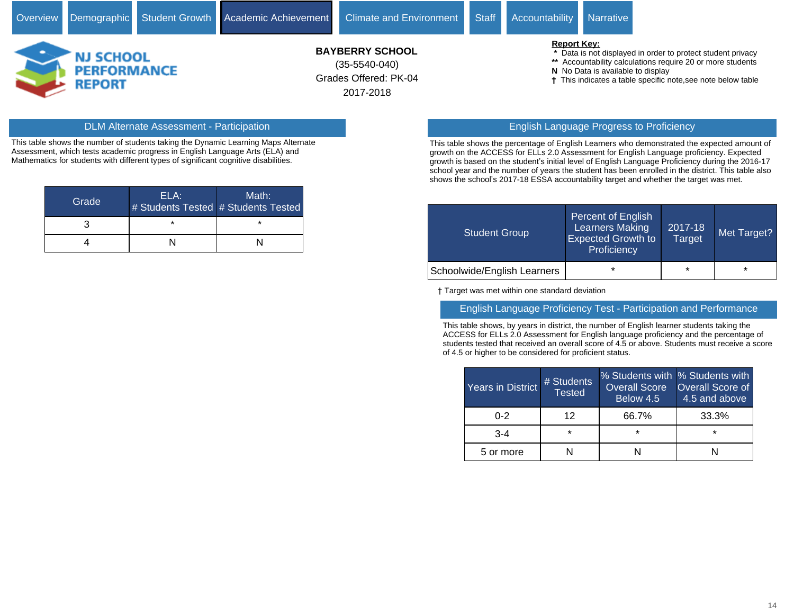![](_page_13_Picture_3.jpeg)

# Grades Offered: PK-04 **BAYBERRY SCHOOL** (35-5540-040)

2017-2018

#### **Report Key:**

- **\*** Data is not displayed in order to protect student privacy
- **\*\*** Accountability calculations require 20 or more students
- **N** No Data is available to display
- This indicates a table specific note,see note below table

This table shows the number of students taking the Dynamic Learning Maps Alternate Assessment, which tests academic progress in English Language Arts (ELA) and Mathematics for students with different types of significant cognitive disabilities.

| Grade | ELA: | Math:<br># Students Tested # Students Tested |
|-------|------|----------------------------------------------|
|       | *    |                                              |
|       |      |                                              |

# DLM Alternate Assessment - Participation English Language Progress to Proficiency

This table shows the percentage of English Learners who demonstrated the expected amount of growth on the ACCESS for ELLs 2.0 Assessment for English Language proficiency. Expected growth is based on the student's initial level of English Language Proficiency during the 2016-17 school year and the number of years the student has been enrolled in the district. This table also shows the school's 2017-18 ESSA accountability target and whether the target was met.

| <b>Student Group</b>        | Percent of English<br><b>Learners Making</b><br><b>Expected Growth to</b><br>Proficiency | 2017-18<br><b>Target</b> | Met Target? |
|-----------------------------|------------------------------------------------------------------------------------------|--------------------------|-------------|
| Schoolwide/English Learners | $\star$                                                                                  | $\star$                  | $\star$     |

Target was met within one standard deviation

#### English Language Proficiency Test - Participation and Performance

This table shows, by years in district, the number of English learner students taking the ACCESS for ELLs 2.0 Assessment for English language proficiency and the percentage of students tested that received an overall score of 4.5 or above. Students must receive a score of 4.5 or higher to be considered for proficient status.

| <b>Years in District</b> | # Students<br><b>Tested</b> | % Students with % Students with<br><b>Overall Score</b><br>Below 4.5 | <b>Overall Score of</b><br>4.5 and above |
|--------------------------|-----------------------------|----------------------------------------------------------------------|------------------------------------------|
| በ-2                      | 12                          | 66.7%                                                                | 33.3%                                    |
| $3-4$                    | $\star$                     | ÷                                                                    | $\star$                                  |
| 5 or more                |                             |                                                                      |                                          |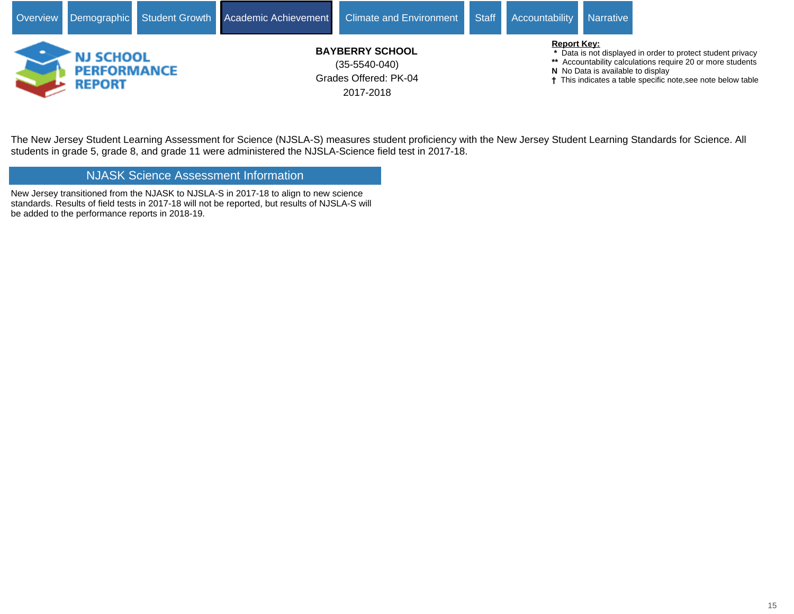![](_page_14_Picture_0.jpeg)

The New Jersey Student Learning Assessment for Science (NJSLA-S) measures student proficiency with the New Jersey Student Learning Standards for Science. All students in grade 5, grade 8, and grade 11 were administered the NJSLA-Science field test in 2017-18.

# NJASK Science Assessment Information

New Jersey transitioned from the NJASK to NJSLA-S in 2017-18 to align to new science standards. Results of field tests in 2017-18 will not be reported, but results of NJSLA-S will be added to the performance reports in 2018-19.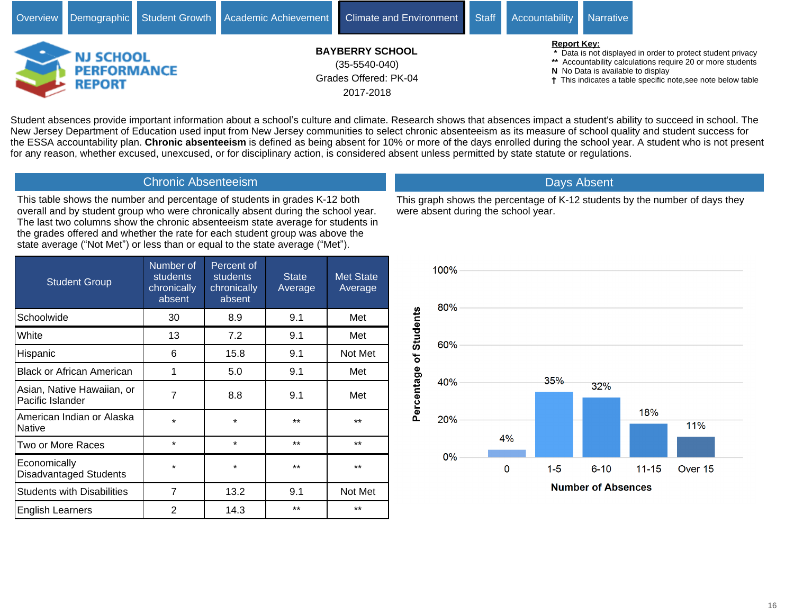![](_page_15_Picture_0.jpeg)

Student absences provide important information about a school's culture and climate. Research shows that absences impact a student's ability to succeed in school. The New Jersey Department of Education used input from New Jersey communities to select chronic absenteeism as its measure of school quality and student success for the ESSA accountability plan. **Chronic absenteeism** is defined as being absent for 10% or more of the days enrolled during the school year. A student who is not present for any reason, whether excused, unexcused, or for disciplinary action, is considered absent unless permitted by state statute or regulations.

#### Chronic Absenteeism

This table shows the number and percentage of students in grades K-12 both overall and by student group who were chronically absent during the school year. The last two columns show the chronic absenteeism state average for students in the grades offered and whether the rate for each student group was above the state average ("Not Met") or less than or equal to the state average ("Met").

| <b>Student Group</b>                           | Number of<br><b>students</b><br>chronically<br>absent | Percent of<br><b>students</b><br>chronically<br>absent | <b>State</b><br>Average | <b>Met State</b><br>Average |
|------------------------------------------------|-------------------------------------------------------|--------------------------------------------------------|-------------------------|-----------------------------|
| Schoolwide                                     | 30                                                    | 8.9                                                    | 9.1                     | Met                         |
| White                                          | 13                                                    | 7.2                                                    | 9.1                     | Met                         |
| Hispanic                                       | 6                                                     | 15.8                                                   | 9.1                     | Not Met                     |
| <b>Black or African American</b>               | 1                                                     | 5.0                                                    | 9.1                     | Met                         |
| Asian, Native Hawaiian, or<br>Pacific Islander | 7                                                     | 8.8                                                    | 9.1                     | Met                         |
| American Indian or Alaska<br>Native            | $\star$                                               | $\star$                                                | $***$                   | $***$                       |
| Two or More Races                              | $\star$                                               | $\star$                                                | $***$                   | $***$                       |
| Economically<br>Disadvantaged Students         | $\star$                                               | $\star$                                                | $***$                   | $***$                       |
| <b>Students with Disabilities</b>              | 7                                                     | 13.2                                                   | 9.1                     | Not Met                     |
| <b>English Learners</b>                        | 2                                                     | 14.3                                                   | $***$                   | $***$                       |

![](_page_15_Figure_5.jpeg)

# Days Absent

This graph shows the percentage of K-12 students by the number of days they were absent during the school year.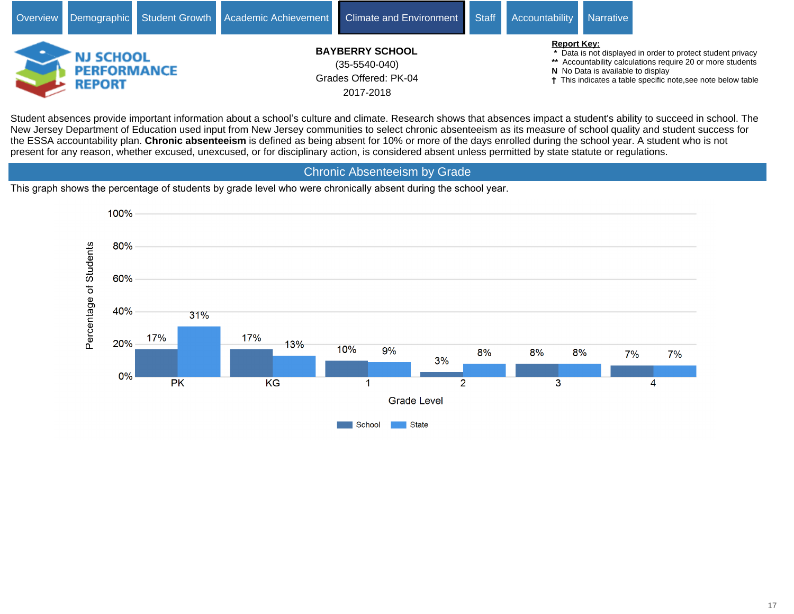![](_page_16_Picture_0.jpeg)

Student absences provide important information about a school's culture and climate. Research shows that absences impact a student's ability to succeed in school. The New Jersey Department of Education used input from New Jersey communities to select chronic absenteeism as its measure of school quality and student success for the ESSA accountability plan. **Chronic absenteeism** is defined as being absent for 10% or more of the days enrolled during the school year. A student who is not present for any reason, whether excused, unexcused, or for disciplinary action, is considered absent unless permitted by state statute or regulations.

Chronic Absenteeism by Grade

This graph shows the percentage of students by grade level who were chronically absent during the school year.

![](_page_16_Figure_4.jpeg)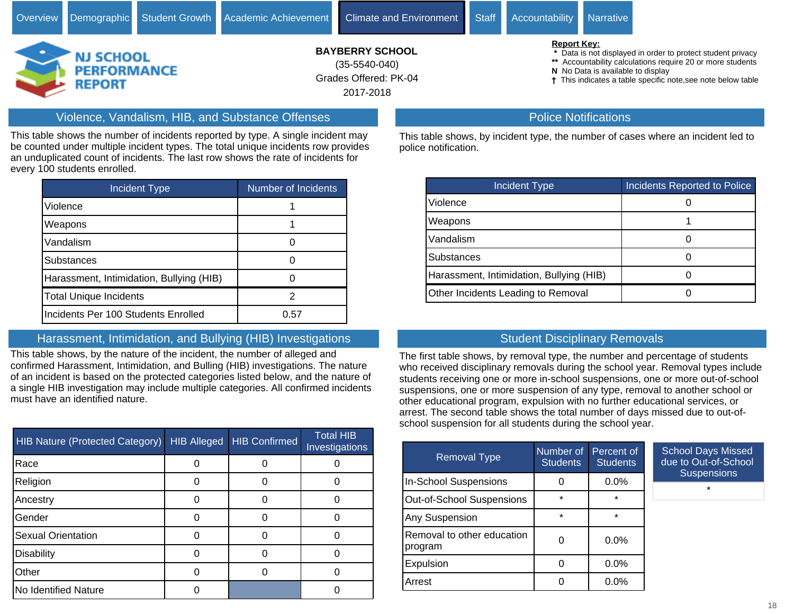Grades Offered: PK-04

2017-2018

#### **N** No Data is available to display

This indicates a table specific note,see note below table

# Violence, Vandalism, HIB, and Substance Offenses

**REPORT** 

This table shows the number of incidents reported by type. A single incident may be counted under multiple incident types. The total unique incidents row provides an unduplicated count of incidents. The last row shows the rate of incidents for every 100 students enrolled.

| <b>Incident Type</b>                     | Number of Incidents |
|------------------------------------------|---------------------|
| Violence                                 |                     |
| Weapons                                  |                     |
| Vandalism                                |                     |
| Substances                               |                     |
| Harassment, Intimidation, Bullying (HIB) |                     |
| <b>Total Unique Incidents</b>            | 2                   |
| Incidents Per 100 Students Enrolled      | 0.57                |

#### Harassment, Intimidation, and Bullying (HIB) Investigations

This table shows, by the nature of the incident, the number of alleged and confirmed Harassment, Intimidation, and Bulling (HIB) investigations. The nature of an incident is based on the protected categories listed below, and the nature of a single HIB investigation may include multiple categories. All confirmed incidents must have an identified nature.

| <b>HIB Nature (Protected Category)</b> | <b>HIB Alleged</b> | <b>HIB Confirmed</b> | <b>Total HIB</b><br>Investigations |
|----------------------------------------|--------------------|----------------------|------------------------------------|
| Race                                   |                    |                      |                                    |
| Religion                               |                    |                      |                                    |
| Ancestry                               |                    |                      |                                    |
| Gender                                 |                    |                      |                                    |
| <b>Sexual Orientation</b>              |                    |                      |                                    |
| <b>Disability</b>                      |                    |                      |                                    |
| Other                                  |                    |                      |                                    |
| No Identified Nature                   |                    |                      |                                    |

#### Police Notifications

This table shows, by incident type, the number of cases where an incident led to police notification.

| <b>Incident Type</b>                     | <b>Incidents Reported to Police</b> |
|------------------------------------------|-------------------------------------|
| Violence                                 |                                     |
| Weapons                                  |                                     |
| Vandalism                                |                                     |
| <b>Substances</b>                        |                                     |
| Harassment, Intimidation, Bullying (HIB) |                                     |
| Other Incidents Leading to Removal       |                                     |

### Student Disciplinary Removals

The first table shows, by removal type, the number and percentage of students who received disciplinary removals during the school year. Removal types include students receiving one or more in-school suspensions, one or more out-of-school suspensions, one or more suspension of any type, removal to another school or other educational program, expulsion with no further educational services, or arrest. The second table shows the total number of days missed due to out-ofschool suspension for all students during the school year.

| <b>Removal Type</b>                   | Number of<br><b>Students</b> | Percent of<br><b>Students</b> | S<br>dι |
|---------------------------------------|------------------------------|-------------------------------|---------|
| <b>In-School Suspensions</b>          |                              | $0.0\%$                       |         |
| <b>Out-of-School Suspensions</b>      | $\star$                      | $\star$                       |         |
| Any Suspension                        | $\star$                      | $\star$                       |         |
| Removal to other education<br>program |                              | $0.0\%$                       |         |
| Expulsion                             | Ω                            | $0.0\%$                       |         |
| Arrest                                |                              | $0.0\%$                       |         |

chool Days Missed e to Out-of-School **Suspensions** 

\*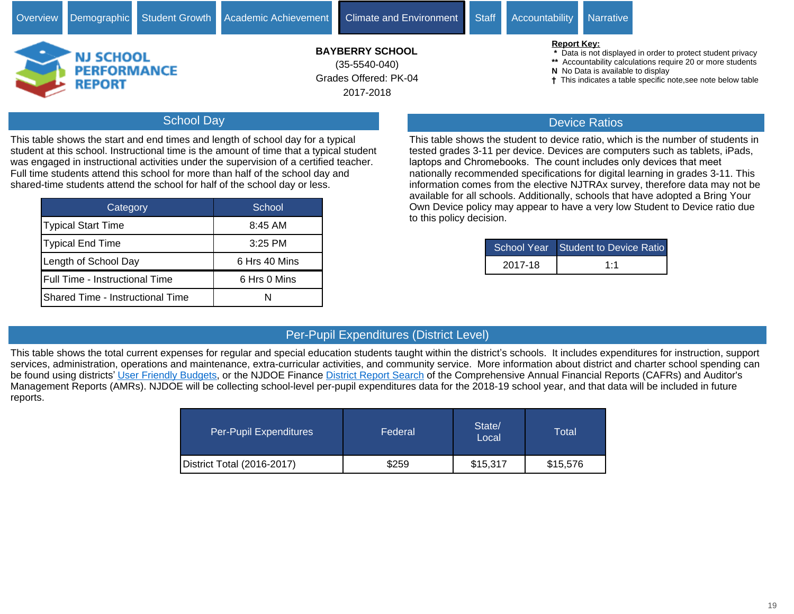# School Day

This table shows the start and end times and length of school day for a typical student at this school. Instructional time is the amount of time that a typical student was engaged in instructional activities under the supervision of a certified teacher. Full time students attend this school for more than half of the school day and shared-time students attend the school for half of the school day or less.

| Category                                | School        |
|-----------------------------------------|---------------|
| Typical Start Time                      | 8:45 AM       |
| Typical End Time                        | 3:25 PM       |
| Length of School Day                    | 6 Hrs 40 Mins |
| Full Time - Instructional Time          | 6 Hrs 0 Mins  |
| <b>Shared Time - Instructional Time</b> |               |

- **\*** Data is not displayed in order to protect student privacy
- **\*\*** Accountability calculations require 20 or more students
- 
- This indicates a table specific note,see note below table

# Device Ratios

This table shows the student to device ratio, which is the number of students in tested grades 3-11 per device. Devices are computers such as tablets, iPads, laptops and Chromebooks. The count includes only devices that meet nationally recommended specifications for digital learning in grades 3-11. This information comes from the elective NJTRAx survey, therefore data may not be available for all schools. Additionally, schools that have adopted a Bring Your Own Device policy may appear to have a very low Student to Device ratio due to this policy decision.

|         | School Year Student to Device Ratio |
|---------|-------------------------------------|
| 2017-18 | 1:1                                 |

# Per-Pupil Expenditures (District Level)

This table shows the total current expenses for regular and special education students taught within the district's schools. It includes expenditures for instruction, support services, administration, operations and maintenance, extra-curricular activities, and community service. More information about district and charter school spending can be found using districts' [User Friendly Budgets](https://www.nj.gov/education/finance/fp/ufb/), or the NJDOE Finance [District Report Search](http://www.nj.gov/education/finance/fp/cafr/search) of the Comprehensive Annual Financial Reports (CAFRs) and Auditor's Management Reports (AMRs). NJDOE will be collecting school-level per-pupil expenditures data for the 2018-19 school year, and that data will be included in future reports.

| Per-Pupil Expenditures     | Federal | State/<br>Local | Total    |
|----------------------------|---------|-----------------|----------|
| District Total (2016-2017) | \$259   | \$15,317        | \$15,576 |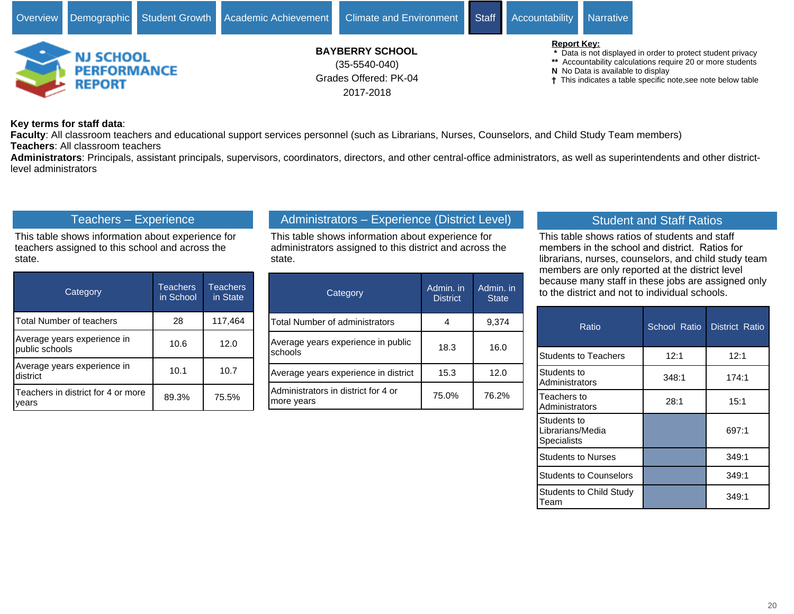![](_page_19_Picture_0.jpeg)

#### **Key terms for staff data**:

**Faculty**: All classroom teachers and educational support services personnel (such as Librarians, Nurses, Counselors, and Child Study Team members) **Teachers**: All classroom teachers

**Administrators**: Principals, assistant principals, supervisors, coordinators, directors, and other central-office administrators, as well as superintendents and other districtlevel administrators

# Teachers - Experience

This table shows information about experience for teachers assigned to this school and across the state.

| Category                                      | <b>Teachers</b><br>in School | <b>Teachers</b><br>in State |
|-----------------------------------------------|------------------------------|-----------------------------|
| Total Number of teachers                      | 28                           | 117,464                     |
| Average years experience in<br>public schools | 10.6                         | 12.0                        |
| Average years experience in<br>district       | 10.1                         | 10.7                        |
| Teachers in district for 4 or more<br>vears   | 89.3%                        | 75.5%                       |

# Administrators - Experience (District Level)

This table shows information about experience for administrators assigned to this district and across the state.

| Category                                          | Admin. in<br><b>District</b> | Admin. in<br><b>State</b> |
|---------------------------------------------------|------------------------------|---------------------------|
| Total Number of administrators                    |                              | 9,374                     |
| Average years experience in public<br>schools     | 18.3                         | 16.0                      |
| Average years experience in district              | 15.3                         | 12.0                      |
| Administrators in district for 4 or<br>more years | 75.0%                        | 76.2%                     |

# Student and Staff Ratios

This table shows ratios of students and staff members in the school and district. Ratios for librarians, nurses, counselors, and child study team members are only reported at the district level because many staff in these jobs are assigned only to the district and not to individual schools.

| Ratio                                                 | School Ratio | <b>District Ratio</b> |
|-------------------------------------------------------|--------------|-----------------------|
| <b>Students to Teachers</b>                           | 12:1         | 12:1                  |
| Students to<br>Administrators                         | 348:1        | 174:1                 |
| Teachers to<br>Administrators                         | 28:1         | 15:1                  |
| Students to<br>Librarians/Media<br><b>Specialists</b> |              | 697:1                 |
| <b>Students to Nurses</b>                             |              | 349:1                 |
| <b>Students to Counselors</b>                         |              | 349:1                 |
| Students to Child Study<br>Team                       |              | 349:1                 |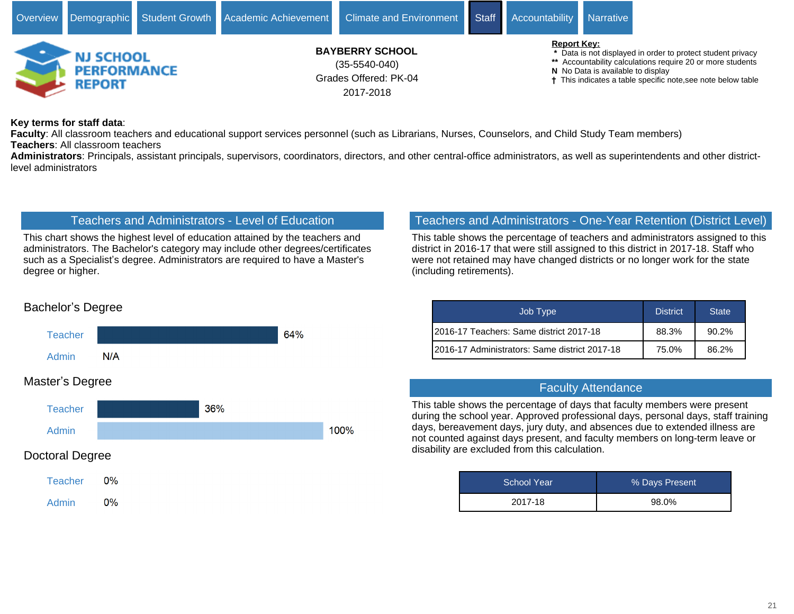![](_page_20_Picture_0.jpeg)

#### **Key terms for staff data**:

**Faculty**: All classroom teachers and educational support services personnel (such as Librarians, Nurses, Counselors, and Child Study Team members) **Teachers**: All classroom teachers

**Administrators**: Principals, assistant principals, supervisors, coordinators, directors, and other central-office administrators, as well as superintendents and other districtlevel administrators

#### Teachers and Administrators - Level of Education

This chart shows the highest level of education attained by the teachers and administrators. The Bachelor's category may include other degrees/certificates such as a Specialist's degree. Administrators are required to have a Master's degree or higher.

## Teachers and Administrators - One-Year Retention (District Level)

This table shows the percentage of teachers and administrators assigned to this district in 2016-17 that were still assigned to this district in 2017-18. Staff who were not retained may have changed districts or no longer work for the state (including retirements).

| Job Type                                       | <b>District</b> | <b>State</b> |
|------------------------------------------------|-----------------|--------------|
| I2016-17 Teachers: Same district 2017-18       | 88.3%           | $90.2\%$     |
| I2016-17 Administrators: Same district 2017-18 | 75.0%           | 86.2%        |

#### Faculty Attendance

This table shows the percentage of days that faculty members were present during the school year. Approved professional days, personal days, staff training days, bereavement days, jury duty, and absences due to extended illness are not counted against days present, and faculty members on long-term leave or disability are excluded from this calculation.

| School Year | % Days Present |
|-------------|----------------|
| 2017-18     | 98.0%          |

# Bachelor's Degree

![](_page_20_Figure_13.jpeg)

### Doctoral Degree

Admin

![](_page_20_Figure_15.jpeg)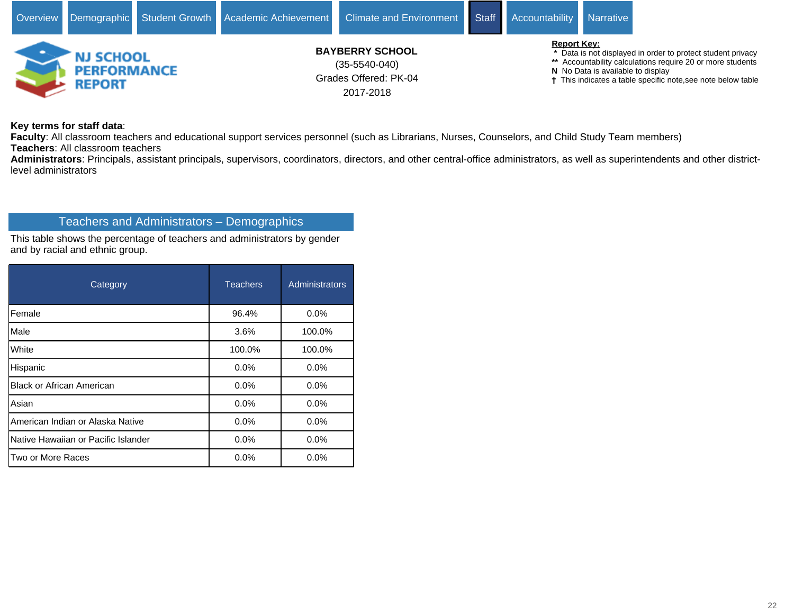![](_page_21_Picture_0.jpeg)

**Key terms for staff data**:

**Faculty**: All classroom teachers and educational support services personnel (such as Librarians, Nurses, Counselors, and Child Study Team members) **Teachers**: All classroom teachers

**Administrators**: Principals, assistant principals, supervisors, coordinators, directors, and other central-office administrators, as well as superintendents and other districtlevel administrators

## Teachers and Administrators - Demographics

This table shows the percentage of teachers and administrators by gender and by racial and ethnic group.

| Category                            | <b>Teachers</b> | Administrators |
|-------------------------------------|-----------------|----------------|
| Female                              | 96.4%           | 0.0%           |
| Male                                | 3.6%            | 100.0%         |
| White                               | 100.0%          | 100.0%         |
| Hispanic                            | 0.0%            | 0.0%           |
| <b>Black or African American</b>    | 0.0%            | 0.0%           |
| Asian                               | 0.0%            | 0.0%           |
| American Indian or Alaska Native    | $0.0\%$         | 0.0%           |
| Native Hawaiian or Pacific Islander | 0.0%            | 0.0%           |
| Two or More Races                   | 0.0%            | 0.0%           |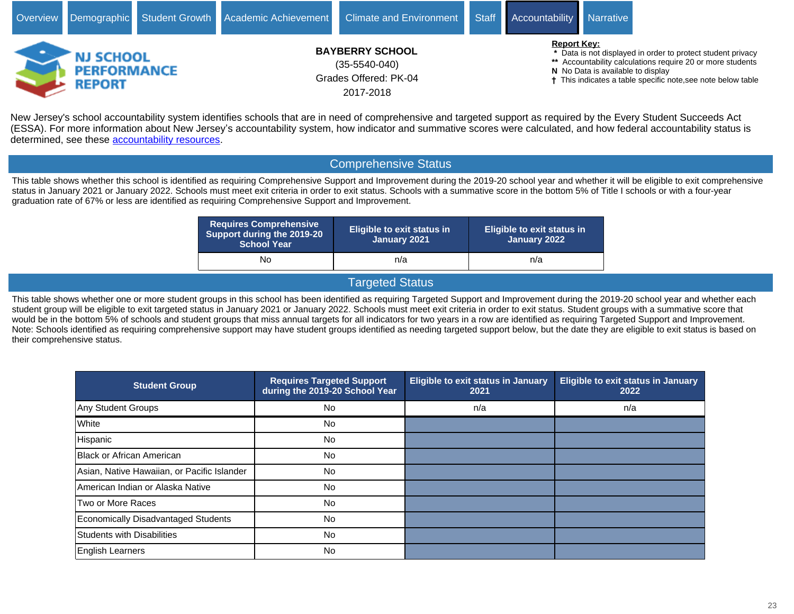![](_page_22_Picture_0.jpeg)

New Jersey's school accountability system identifies schools that are in need of comprehensive and targeted support as required by the Every Student Succeeds Act (ESSA). For more information about New Jersey's accountability system, how indicator and summative scores were calculated, and how federal accountability status is determined, see these [accountability resources.](https://www.state.nj.us/education/title1/accountability/progress/18/)

# Comprehensive Status

This table shows whether this school is identified as requiring Comprehensive Support and Improvement during the 2019-20 school year and whether it will be eligible to exit comprehensive status in January 2021 or January 2022. Schools must meet exit criteria in order to exit status. Schools with a summative score in the bottom 5% of Title I schools or with a four-year graduation rate of 67% or less are identified as requiring Comprehensive Support and Improvement.

| <b>Requires Comprehensive</b><br>Support during the 2019-20<br><b>School Year</b> | <b>Eligible to exit status in</b><br>January 2021 | <b>Eligible to exit status in</b><br>January 2022 |
|-----------------------------------------------------------------------------------|---------------------------------------------------|---------------------------------------------------|
| No                                                                                | n/a                                               | n/a                                               |

### Targeted Status

This table shows whether one or more student groups in this school has been identified as requiring Targeted Support and Improvement during the 2019-20 school year and whether each student group will be eligible to exit targeted status in January 2021 or January 2022. Schools must meet exit criteria in order to exit status. Student groups with a summative score that would be in the bottom 5% of schools and student groups that miss annual targets for all indicators for two years in a row are identified as requiring Targeted Support and Improvement. Note: Schools identified as requiring comprehensive support may have student groups identified as needing targeted support below, but the date they are eligible to exit status is based on their comprehensive status.

| <b>Student Group</b>                        | <b>Requires Targeted Support</b><br>during the 2019-20 School Year | <b>Eligible to exit status in January</b><br>2021 | <b>Eligible to exit status in January</b><br>2022 |
|---------------------------------------------|--------------------------------------------------------------------|---------------------------------------------------|---------------------------------------------------|
| Any Student Groups                          | <b>No</b>                                                          | n/a                                               | n/a                                               |
| White                                       | <b>No</b>                                                          |                                                   |                                                   |
| Hispanic                                    | <b>No</b>                                                          |                                                   |                                                   |
| Black or African American                   | <b>No</b>                                                          |                                                   |                                                   |
| Asian, Native Hawaiian, or Pacific Islander | <b>No</b>                                                          |                                                   |                                                   |
| American Indian or Alaska Native            | <b>No</b>                                                          |                                                   |                                                   |
| Two or More Races                           | <b>No</b>                                                          |                                                   |                                                   |
| Economically Disadvantaged Students         | <b>No</b>                                                          |                                                   |                                                   |
| Students with Disabilities                  | No.                                                                |                                                   |                                                   |
| English Learners                            | <b>No</b>                                                          |                                                   |                                                   |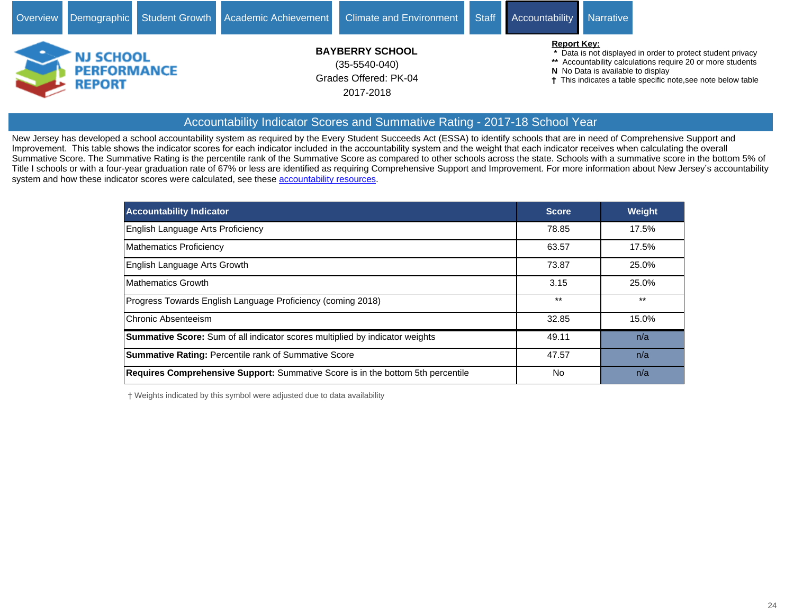![](_page_23_Picture_0.jpeg)

#### Accountability Indicator Scores and Summative Rating - 2017-18 School Year

New Jersey has developed a school accountability system as required by the Every Student Succeeds Act (ESSA) to identify schools that are in need of Comprehensive Support and Improvement. This table shows the indicator scores for each indicator included in the accountability system and the weight that each indicator receives when calculating the overall Summative Score. The Summative Rating is the percentile rank of the Summative Score as compared to other schools across the state. Schools with a summative score in the bottom 5% of Title I schools or with a four-year graduation rate of 67% or less are identified as requiring Comprehensive Support and Improvement. For more information about New Jersey's accountability system and how these indicator scores were calculated, see these [accountability resources](https://www.state.nj.us/education/title1/accountability/progress/18/).

| <b>Accountability Indicator</b>                                                        | <b>Score</b> | <b>Weight</b> |
|----------------------------------------------------------------------------------------|--------------|---------------|
| English Language Arts Proficiency                                                      | 78.85        | 17.5%         |
| Mathematics Proficiency                                                                | 63.57        | 17.5%         |
| English Language Arts Growth                                                           | 73.87        | 25.0%         |
| <b>Mathematics Growth</b>                                                              | 3.15         | 25.0%         |
| Progress Towards English Language Proficiency (coming 2018)                            | $***$        | $***$         |
| Chronic Absenteeism                                                                    | 32.85        | 15.0%         |
| <b>Summative Score:</b> Sum of all indicator scores multiplied by indicator weights    | 49.11        | n/a           |
| <b>Summative Rating: Percentile rank of Summative Score</b>                            | 47.57        | n/a           |
| <b>Requires Comprehensive Support:</b> Summative Score is in the bottom 5th percentile | No           | n/a           |

Weights indicated by this symbol were adjusted due to data availability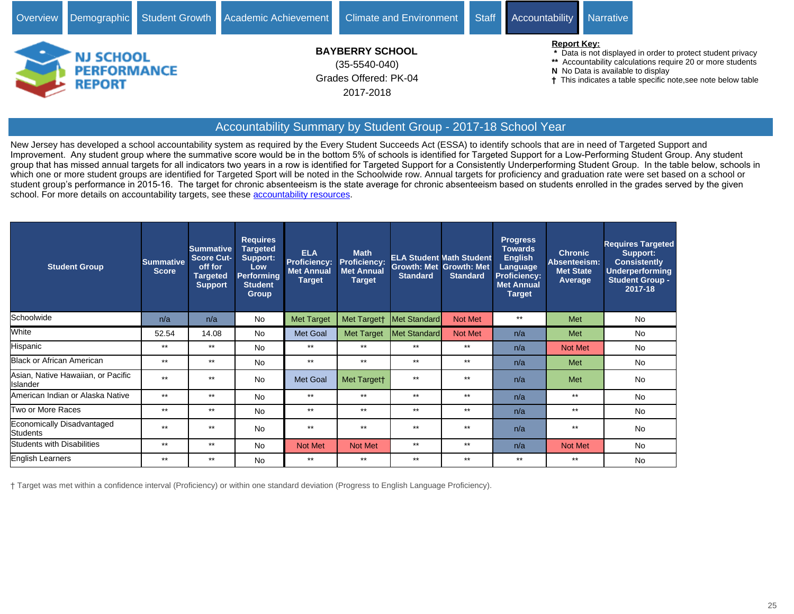![](_page_24_Picture_0.jpeg)

# Accountability Summary by Student Group - 2017-18 School Year

New Jersey has developed a school accountability system as required by the Every Student Succeeds Act (ESSA) to identify schools that are in need of Targeted Support and Improvement. Any student group where the summative score would be in the bottom 5% of schools is identified for Targeted Support for a Low-Performing Student Group. Any student group that has missed annual targets for all indicators two years in a row is identified for Targeted Support for a Consistently Underperforming Student Group. In the table below, schools in which one or more student groups are identified for Targeted Sport will be noted in the Schoolwide row. Annual targets for proficiency and graduation rate were set based on a school or student group's performance in 2015-16. The target for chronic absenteeism is the state average for chronic absenteeism based on students enrolled in the grades served by the given school. For more details on accountability targets, see these [accountability resources](https://www.state.nj.us/education/title1/accountability/progress/18/).

| <b>Student Group</b>                           | <b>Summative</b><br><b>Score</b> | <b>Summative</b><br><b>Score Cut-</b><br>off for<br><b>Targeted</b><br>Support | <b>Requires</b><br>Targeted<br>Support:<br><b>Low</b><br><b>Performing</b><br><b>Student</b><br><b>Group</b> | <b>ELA</b><br>Proficiency:<br><b>Met Annual</b><br>Target | <b>Math</b><br><b>Proficiency:</b><br><b>Met Annual</b><br>Target | <b>Standard</b> | <b>ELA Student Math Student</b><br><b>Growth: Met Growth: Met</b><br><b>Standard</b> | <b>Progress</b><br><b>Towards</b><br><b>English</b><br>Language<br><b>Proficiency:</b><br><b>Met Annual</b><br><b>Target</b> | <b>Chronic</b><br>Absenteeism:<br><b>Met State</b><br>Average | <b>Requires Targeted</b><br>Support:<br><b>Consistently</b><br><b>Underperforming</b><br><b>Student Group -</b><br>2017-18 |
|------------------------------------------------|----------------------------------|--------------------------------------------------------------------------------|--------------------------------------------------------------------------------------------------------------|-----------------------------------------------------------|-------------------------------------------------------------------|-----------------|--------------------------------------------------------------------------------------|------------------------------------------------------------------------------------------------------------------------------|---------------------------------------------------------------|----------------------------------------------------------------------------------------------------------------------------|
| Schoolwide                                     | n/a                              | n/a                                                                            | No                                                                                                           | <b>Met Target</b>                                         | Met Targett                                                       | Met Standard    | Not Met                                                                              | $***$                                                                                                                        | Met                                                           | No                                                                                                                         |
| White                                          | 52.54                            | 14.08                                                                          | <b>No</b>                                                                                                    | Met Goal                                                  | <b>Met Target</b>                                                 | Met Standard    | Not Met                                                                              | n/a                                                                                                                          | Met                                                           | No                                                                                                                         |
| <b>Hispanic</b>                                | $***$                            | $***$                                                                          | <b>No</b>                                                                                                    | $***$                                                     | $***$                                                             | $***$           | $***$                                                                                | n/a                                                                                                                          | <b>Not Met</b>                                                | No                                                                                                                         |
| Black or African American                      | $***$                            | $***$                                                                          | <b>No</b>                                                                                                    | $***$                                                     | $***$                                                             | $***$           | $***$                                                                                | n/a                                                                                                                          | Met                                                           | No                                                                                                                         |
| Asian, Native Hawaiian, or Pacific<br>Islander | $***$                            | $***$                                                                          | <b>No</b>                                                                                                    | <b>Met Goal</b>                                           | Met Targett                                                       | $***$           | $***$                                                                                | n/a                                                                                                                          | Met                                                           | <b>No</b>                                                                                                                  |
| American Indian or Alaska Native               | $***$                            | $***$                                                                          | <b>No</b>                                                                                                    | $***$                                                     | $***$                                                             | $***$           | $***$                                                                                | n/a                                                                                                                          | $**$                                                          | No                                                                                                                         |
| Two or More Races                              | $***$                            | $***$                                                                          | <b>No</b>                                                                                                    | $***$                                                     | $***$                                                             | $***$           | $***$                                                                                | n/a                                                                                                                          | $***$                                                         | No                                                                                                                         |
| Economically Disadvantaged<br>Students         | $***$                            | $***$                                                                          | <b>No</b>                                                                                                    | $***$                                                     | $***$                                                             | $***$           | $***$                                                                                | n/a                                                                                                                          | $***$                                                         | <b>No</b>                                                                                                                  |
| <b>Students with Disabilities</b>              | $***$                            | $***$                                                                          | <b>No</b>                                                                                                    | Not Met                                                   | Not Met                                                           | $***$           | $***$                                                                                | n/a                                                                                                                          | <b>Not Met</b>                                                | <b>No</b>                                                                                                                  |
| English Learners                               | $***$                            | $***$                                                                          | <b>No</b>                                                                                                    | $***$                                                     | $***$                                                             | $***$           | $***$                                                                                | $***$                                                                                                                        | $***$                                                         | No                                                                                                                         |

Target was met within a confidence interval (Proficiency) or within one standard deviation (Progress to English Language Proficiency).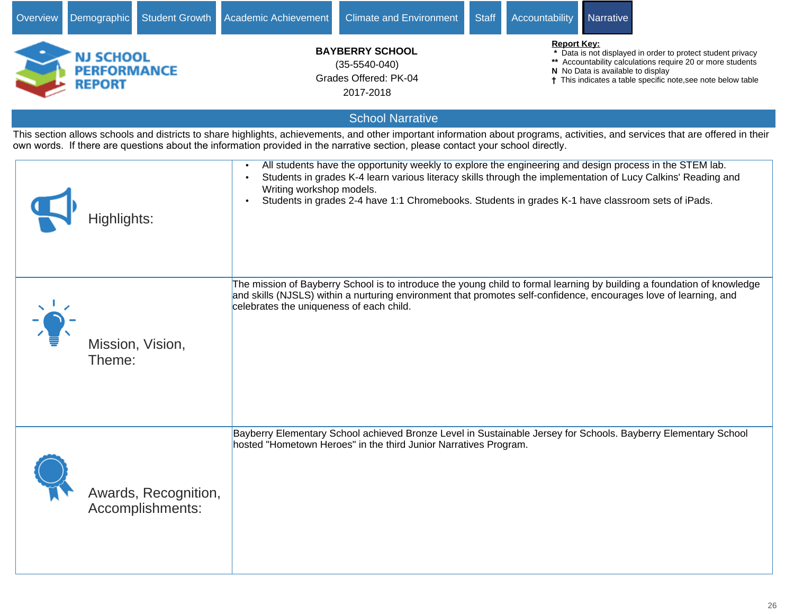| Overview | Demographic                                      | <b>Student Growth</b>                    | Academic Achievement                                                            | <b>Climate and Environment</b>                                                                                                                                                                                                                                                                                               | <b>Staff</b> | Accountability                                                                                                                                                                                                                                     | Narrative |                                                                                                                                                                                 |
|----------|--------------------------------------------------|------------------------------------------|---------------------------------------------------------------------------------|------------------------------------------------------------------------------------------------------------------------------------------------------------------------------------------------------------------------------------------------------------------------------------------------------------------------------|--------------|----------------------------------------------------------------------------------------------------------------------------------------------------------------------------------------------------------------------------------------------------|-----------|---------------------------------------------------------------------------------------------------------------------------------------------------------------------------------|
|          | NJ SCHOOL<br><b>PERFORMANCE</b><br><b>REPORT</b> |                                          | <b>BAYBERRY SCHOOL</b><br>$(35-5540-040)$<br>Grades Offered: PK-04<br>2017-2018 |                                                                                                                                                                                                                                                                                                                              |              | <b>Report Key:</b><br>Data is not displayed in order to protect student privacy<br>** Accountability calculations require 20 or more students<br>N No Data is available to display<br>† This indicates a table specific note, see note below table |           |                                                                                                                                                                                 |
|          |                                                  |                                          |                                                                                 | <b>School Narrative</b>                                                                                                                                                                                                                                                                                                      |              |                                                                                                                                                                                                                                                    |           |                                                                                                                                                                                 |
|          |                                                  |                                          |                                                                                 | own words. If there are questions about the information provided in the narrative section, please contact your school directly.                                                                                                                                                                                              |              |                                                                                                                                                                                                                                                    |           | This section allows schools and districts to share highlights, achievements, and other important information about programs, activities, and services that are offered in their |
|          | Highlights:                                      |                                          | $\bullet$<br>Writing workshop models.<br>$\bullet$                              | All students have the opportunity weekly to explore the engineering and design process in the STEM lab.<br>Students in grades K-4 learn various literacy skills through the implementation of Lucy Calkins' Reading and<br>Students in grades 2-4 have 1:1 Chromebooks. Students in grades K-1 have classroom sets of iPads. |              |                                                                                                                                                                                                                                                    |           |                                                                                                                                                                                 |
|          | Theme:                                           | Mission, Vision,                         | celebrates the uniqueness of each child.                                        | The mission of Bayberry School is to introduce the young child to formal learning by building a foundation of knowledge<br>and skills (NJSLS) within a nurturing environment that promotes self-confidence, encourages love of learning, and                                                                                 |              |                                                                                                                                                                                                                                                    |           |                                                                                                                                                                                 |
|          |                                                  | Awards, Recognition,<br>Accomplishments: |                                                                                 | Bayberry Elementary School achieved Bronze Level in Sustainable Jersey for Schools. Bayberry Elementary School<br>hosted "Hometown Heroes" in the third Junior Narratives Program.                                                                                                                                           |              |                                                                                                                                                                                                                                                    |           |                                                                                                                                                                                 |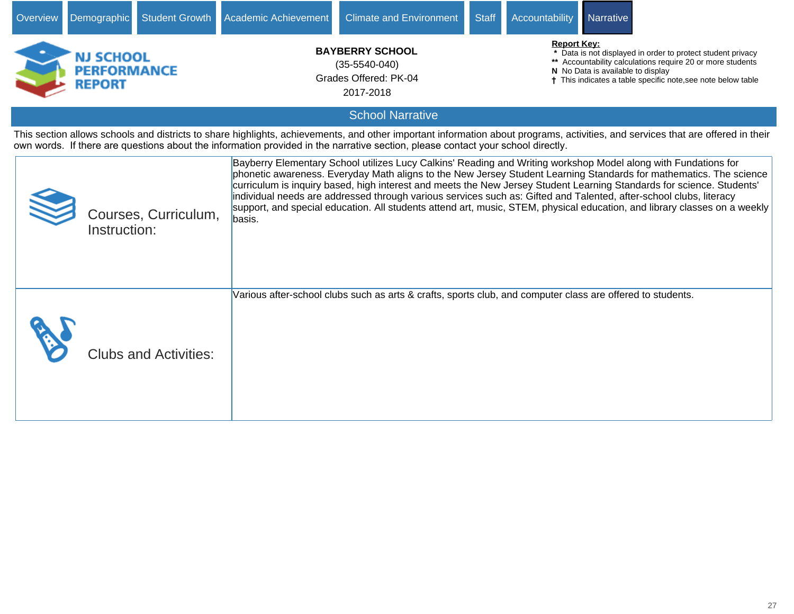| Overview | Student Growth<br>Demographic                           | Academic Achievement<br><b>Climate and Environment</b>                                                                          | <b>Staff</b><br><b>Accountability</b><br><b>Narrative</b>                                                                                                                                                                                                                                                                                                                                                                                                                                                                                                                                                        |
|----------|---------------------------------------------------------|---------------------------------------------------------------------------------------------------------------------------------|------------------------------------------------------------------------------------------------------------------------------------------------------------------------------------------------------------------------------------------------------------------------------------------------------------------------------------------------------------------------------------------------------------------------------------------------------------------------------------------------------------------------------------------------------------------------------------------------------------------|
|          | <b>NJ SCHOOL</b><br><b>PERFORMANCE</b><br><b>REPORT</b> | <b>BAYBERRY SCHOOL</b><br>$(35-5540-040)$<br>Grades Offered: PK-04<br>2017-2018                                                 | <b>Report Key:</b><br>Data is not displayed in order to protect student privacy<br>** Accountability calculations require 20 or more students<br>N No Data is available to display<br>† This indicates a table specific note, see note below table                                                                                                                                                                                                                                                                                                                                                               |
|          |                                                         | <b>School Narrative</b>                                                                                                         |                                                                                                                                                                                                                                                                                                                                                                                                                                                                                                                                                                                                                  |
|          |                                                         | own words. If there are questions about the information provided in the narrative section, please contact your school directly. | This section allows schools and districts to share highlights, achievements, and other important information about programs, activities, and services that are offered in their                                                                                                                                                                                                                                                                                                                                                                                                                                  |
|          | Courses, Curriculum,<br>Instruction:                    | basis.                                                                                                                          | Bayberry Elementary School utilizes Lucy Calkins' Reading and Writing workshop Model along with Fundations for<br>phonetic awareness. Everyday Math aligns to the New Jersey Student Learning Standards for mathematics. The science<br>curriculum is inquiry based, high interest and meets the New Jersey Student Learning Standards for science. Students'<br>individual needs are addressed through various services such as: Gifted and Talented, after-school clubs, literacy<br>support, and special education. All students attend art, music, STEM, physical education, and library classes on a weekly |
|          | <b>Clubs and Activities:</b>                            | Various after-school clubs such as arts & crafts, sports club, and computer class are offered to students.                      |                                                                                                                                                                                                                                                                                                                                                                                                                                                                                                                                                                                                                  |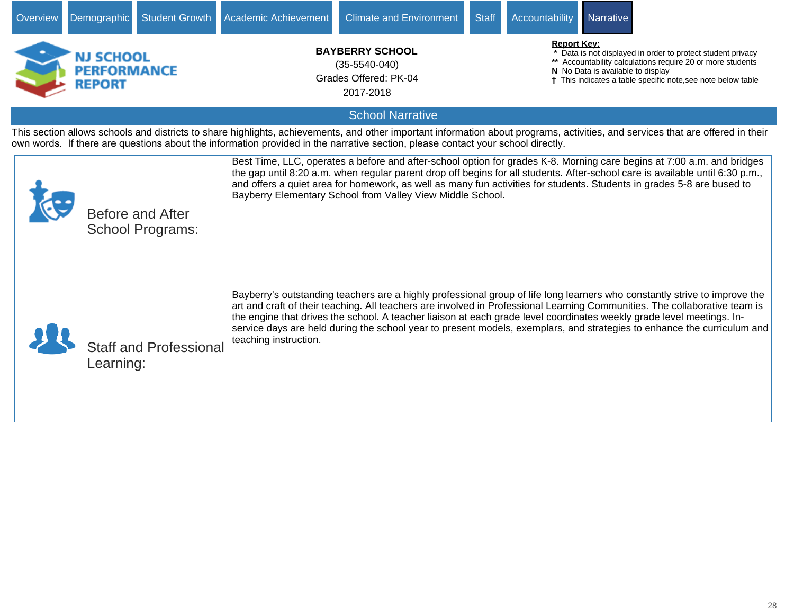| Overview                                                                                                                                                                                                                                                                                                           | Student Growth<br>Demographic                      | Academic Achievement                                                                                                                                                                                                                                                                                                                                                                                                                                                                                                                                                   | <b>Climate and Environment</b>                                                  | <b>Staff</b><br><b>Accountability</b> | Narrative                                                                                                                                                                                                                                                                                                                                                                         |  |  |  |  |  |  |  |  |
|--------------------------------------------------------------------------------------------------------------------------------------------------------------------------------------------------------------------------------------------------------------------------------------------------------------------|----------------------------------------------------|------------------------------------------------------------------------------------------------------------------------------------------------------------------------------------------------------------------------------------------------------------------------------------------------------------------------------------------------------------------------------------------------------------------------------------------------------------------------------------------------------------------------------------------------------------------------|---------------------------------------------------------------------------------|---------------------------------------|-----------------------------------------------------------------------------------------------------------------------------------------------------------------------------------------------------------------------------------------------------------------------------------------------------------------------------------------------------------------------------------|--|--|--|--|--|--|--|--|
|                                                                                                                                                                                                                                                                                                                    | NJ SCHOOL<br><b>PERFORMANCE</b><br><b>REPORT</b>   |                                                                                                                                                                                                                                                                                                                                                                                                                                                                                                                                                                        | <b>BAYBERRY SCHOOL</b><br>$(35-5540-040)$<br>Grades Offered: PK-04<br>2017-2018 | <b>Report Key:</b>                    | Data is not displayed in order to protect student privacy<br>** Accountability calculations require 20 or more students<br>N No Data is available to display<br><sup>†</sup> This indicates a table specific note, see note below table                                                                                                                                           |  |  |  |  |  |  |  |  |
| <b>School Narrative</b>                                                                                                                                                                                                                                                                                            |                                                    |                                                                                                                                                                                                                                                                                                                                                                                                                                                                                                                                                                        |                                                                                 |                                       |                                                                                                                                                                                                                                                                                                                                                                                   |  |  |  |  |  |  |  |  |
| This section allows schools and districts to share highlights, achievements, and other important information about programs, activities, and services that are offered in their<br>own words. If there are questions about the information provided in the narrative section, please contact your school directly. |                                                    |                                                                                                                                                                                                                                                                                                                                                                                                                                                                                                                                                                        |                                                                                 |                                       |                                                                                                                                                                                                                                                                                                                                                                                   |  |  |  |  |  |  |  |  |
|                                                                                                                                                                                                                                                                                                                    | <b>Before and After</b><br><b>School Programs:</b> |                                                                                                                                                                                                                                                                                                                                                                                                                                                                                                                                                                        | Bayberry Elementary School from Valley View Middle School.                      |                                       | Best Time, LLC, operates a before and after-school option for grades K-8. Morning care begins at 7:00 a.m. and bridges<br>the gap until 8:20 a.m. when regular parent drop off begins for all students. After-school care is available until 6:30 p.m.,<br>and offers a quiet area for homework, as well as many fun activities for students. Students in grades 5-8 are bused to |  |  |  |  |  |  |  |  |
|                                                                                                                                                                                                                                                                                                                    | Learning:                                          | Bayberry's outstanding teachers are a highly professional group of life long learners who constantly strive to improve the<br>art and craft of their teaching. All teachers are involved in Professional Learning Communities. The collaborative team is<br>the engine that drives the school. A teacher liaison at each grade level coordinates weekly grade level meetings. In-<br>service days are held during the school year to present models, exemplars, and strategies to enhance the curriculum and<br>teaching instruction.<br><b>Staff and Professional</b> |                                                                                 |                                       |                                                                                                                                                                                                                                                                                                                                                                                   |  |  |  |  |  |  |  |  |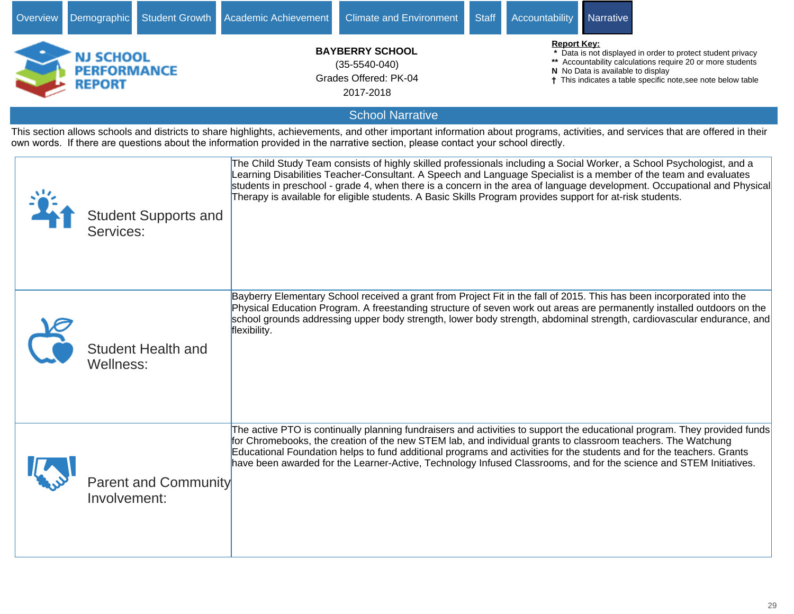| Overview                                                                                                                                                                                                   | Demographic                                             | <b>Student Growth</b>       | Academic Achievement                                                                | <b>Climate and Environment</b>                                                                                                                                                                                                                                                                                                                              | <b>Staff</b>                                                                                                                                                                                                                                         | Accountability | Narrative |                                                                                                                                                                                                                                                 |  |  |  |  |
|------------------------------------------------------------------------------------------------------------------------------------------------------------------------------------------------------------|---------------------------------------------------------|-----------------------------|-------------------------------------------------------------------------------------|-------------------------------------------------------------------------------------------------------------------------------------------------------------------------------------------------------------------------------------------------------------------------------------------------------------------------------------------------------------|------------------------------------------------------------------------------------------------------------------------------------------------------------------------------------------------------------------------------------------------------|----------------|-----------|-------------------------------------------------------------------------------------------------------------------------------------------------------------------------------------------------------------------------------------------------|--|--|--|--|
|                                                                                                                                                                                                            | <b>NJ SCHOOL</b><br><b>PERFORMANCE</b><br><b>REPORT</b> |                             | <b>BAYBERRY SCHOOL</b><br>$(35 - 5540 - 040)$<br>Grades Offered: PK-04<br>2017-2018 |                                                                                                                                                                                                                                                                                                                                                             | <b>Report Key:</b><br>* Data is not displayed in order to protect student privacy<br>** Accountability calculations require 20 or more students<br>N No Data is available to display<br>† This indicates a table specific note, see note below table |                |           |                                                                                                                                                                                                                                                 |  |  |  |  |
| <b>School Narrative</b><br>This section allows schools and districts to share highlights, achievements, and other important information about programs, activities, and services that are offered in their |                                                         |                             |                                                                                     |                                                                                                                                                                                                                                                                                                                                                             |                                                                                                                                                                                                                                                      |                |           |                                                                                                                                                                                                                                                 |  |  |  |  |
| own words. If there are questions about the information provided in the narrative section, please contact your school directly.                                                                            |                                                         |                             |                                                                                     |                                                                                                                                                                                                                                                                                                                                                             |                                                                                                                                                                                                                                                      |                |           |                                                                                                                                                                                                                                                 |  |  |  |  |
|                                                                                                                                                                                                            | Services:                                               | <b>Student Supports and</b> |                                                                                     | The Child Study Team consists of highly skilled professionals including a Social Worker, a School Psychologist, and a<br>Learning Disabilities Teacher-Consultant. A Speech and Language Specialist is a member of the team and evaluates<br>Therapy is available for eligible students. A Basic Skills Program provides support for at-risk students.      |                                                                                                                                                                                                                                                      |                |           | students in preschool - grade 4, when there is a concern in the area of language development. Occupational and Physical                                                                                                                         |  |  |  |  |
|                                                                                                                                                                                                            | Wellness:                                               | <b>Student Health and</b>   | flexibility.                                                                        | Bayberry Elementary School received a grant from Project Fit in the fall of 2015. This has been incorporated into the                                                                                                                                                                                                                                       |                                                                                                                                                                                                                                                      |                |           | Physical Education Program. A freestanding structure of seven work out areas are permanently installed outdoors on the<br>school grounds addressing upper body strength, lower body strength, abdominal strength, cardiovascular endurance, and |  |  |  |  |
|                                                                                                                                                                                                            | Involvement:                                            | Parent and Community        |                                                                                     | for Chromebooks, the creation of the new STEM lab, and individual grants to classroom teachers. The Watchung<br>Educational Foundation helps to fund additional programs and activities for the students and for the teachers. Grants<br>have been awarded for the Learner-Active, Technology Infused Classrooms, and for the science and STEM Initiatives. |                                                                                                                                                                                                                                                      |                |           | The active PTO is continually planning fundraisers and activities to support the educational program. They provided funds                                                                                                                       |  |  |  |  |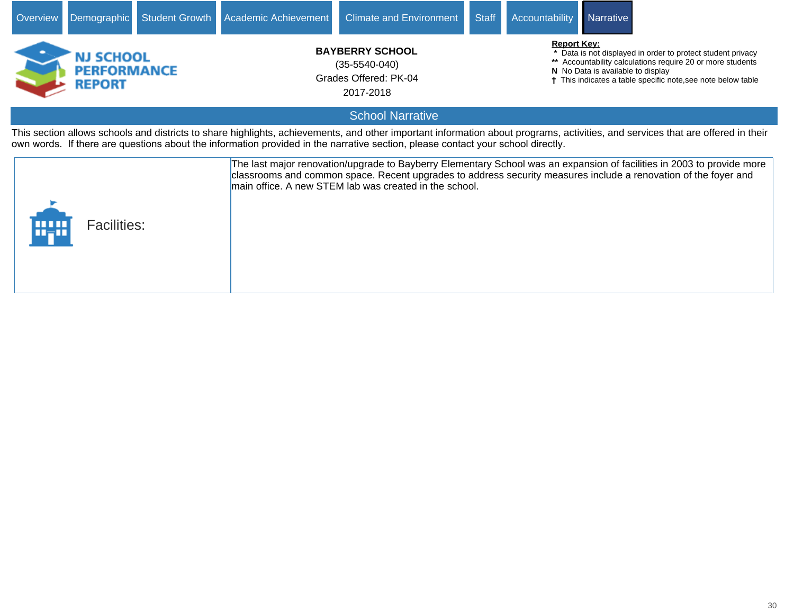![](_page_29_Picture_0.jpeg)